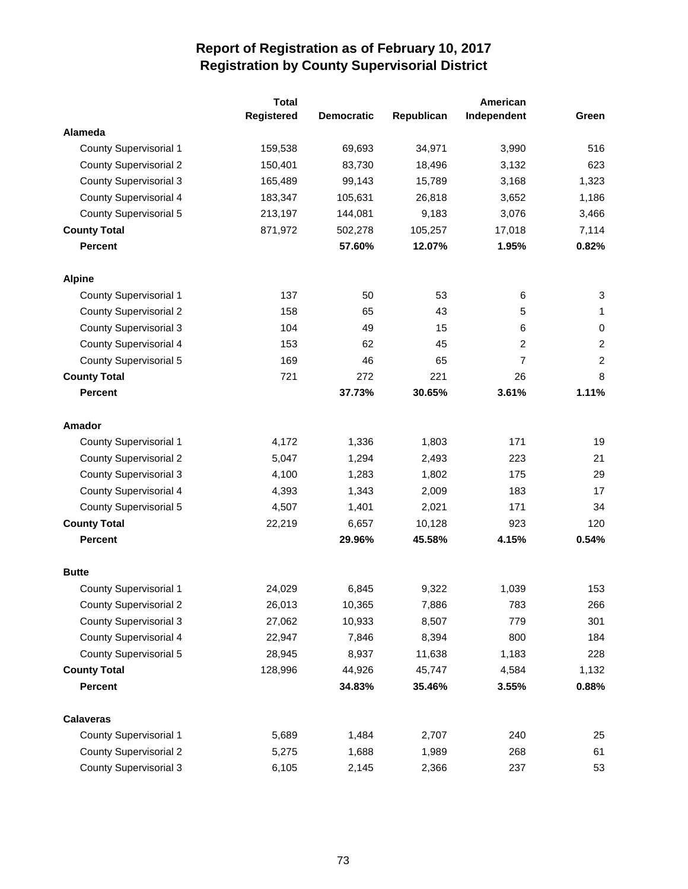|                               | <b>Total</b> |                   |            | American    |                  |
|-------------------------------|--------------|-------------------|------------|-------------|------------------|
|                               | Registered   | <b>Democratic</b> | Republican | Independent | Green            |
| Alameda                       |              |                   |            |             |                  |
| <b>County Supervisorial 1</b> | 159,538      | 69,693            | 34,971     | 3,990       | 516              |
| <b>County Supervisorial 2</b> | 150,401      | 83,730            | 18,496     | 3,132       | 623              |
| <b>County Supervisorial 3</b> | 165,489      | 99,143            | 15,789     | 3,168       | 1,323            |
| County Supervisorial 4        | 183,347      | 105,631           | 26,818     | 3,652       | 1,186            |
| <b>County Supervisorial 5</b> | 213,197      | 144,081           | 9,183      | 3,076       | 3,466            |
| <b>County Total</b>           | 871,972      | 502,278           | 105,257    | 17,018      | 7,114            |
| <b>Percent</b>                |              | 57.60%            | 12.07%     | 1.95%       | 0.82%            |
| <b>Alpine</b>                 |              |                   |            |             |                  |
| County Supervisorial 1        | 137          | 50                | 53         | 6           | 3                |
| <b>County Supervisorial 2</b> | 158          | 65                | 43         | 5           | 1                |
| <b>County Supervisorial 3</b> | 104          | 49                | 15         | 6           | $\mathbf 0$      |
| <b>County Supervisorial 4</b> | 153          | 62                | 45         | 2           | $\boldsymbol{2}$ |
| <b>County Supervisorial 5</b> | 169          | 46                | 65         | 7           | $\boldsymbol{2}$ |
| <b>County Total</b>           | 721          | 272               | 221        | 26          | 8                |
| <b>Percent</b>                |              | 37.73%            | 30.65%     | 3.61%       | 1.11%            |
| Amador                        |              |                   |            |             |                  |
| <b>County Supervisorial 1</b> | 4,172        | 1,336             | 1,803      | 171         | 19               |
| <b>County Supervisorial 2</b> | 5,047        | 1,294             | 2,493      | 223         | 21               |
| <b>County Supervisorial 3</b> | 4,100        | 1,283             | 1,802      | 175         | 29               |
| County Supervisorial 4        | 4,393        | 1,343             | 2,009      | 183         | 17               |
| County Supervisorial 5        | 4,507        | 1,401             | 2,021      | 171         | 34               |
| <b>County Total</b>           | 22,219       | 6,657             | 10,128     | 923         | 120              |
| <b>Percent</b>                |              | 29.96%            | 45.58%     | 4.15%       | 0.54%            |
| <b>Butte</b>                  |              |                   |            |             |                  |
| <b>County Supervisorial 1</b> | 24,029       | 6,845             | 9,322      | 1,039       | 153              |
| <b>County Supervisorial 2</b> | 26,013       | 10,365            | 7,886      | 783         | 266              |
| <b>County Supervisorial 3</b> | 27,062       | 10,933            | 8,507      | 779         | 301              |
| County Supervisorial 4        | 22,947       | 7,846             | 8,394      | 800         | 184              |
| County Supervisorial 5        | 28,945       | 8,937             | 11,638     | 1,183       | 228              |
| <b>County Total</b>           | 128,996      | 44,926            | 45,747     | 4,584       | 1,132            |
| Percent                       |              | 34.83%            | 35.46%     | 3.55%       | 0.88%            |
| <b>Calaveras</b>              |              |                   |            |             |                  |
| <b>County Supervisorial 1</b> | 5,689        | 1,484             | 2,707      | 240         | 25               |
| <b>County Supervisorial 2</b> | 5,275        | 1,688             | 1,989      | 268         | 61               |
| <b>County Supervisorial 3</b> | 6,105        | 2,145             | 2,366      | 237         | 53               |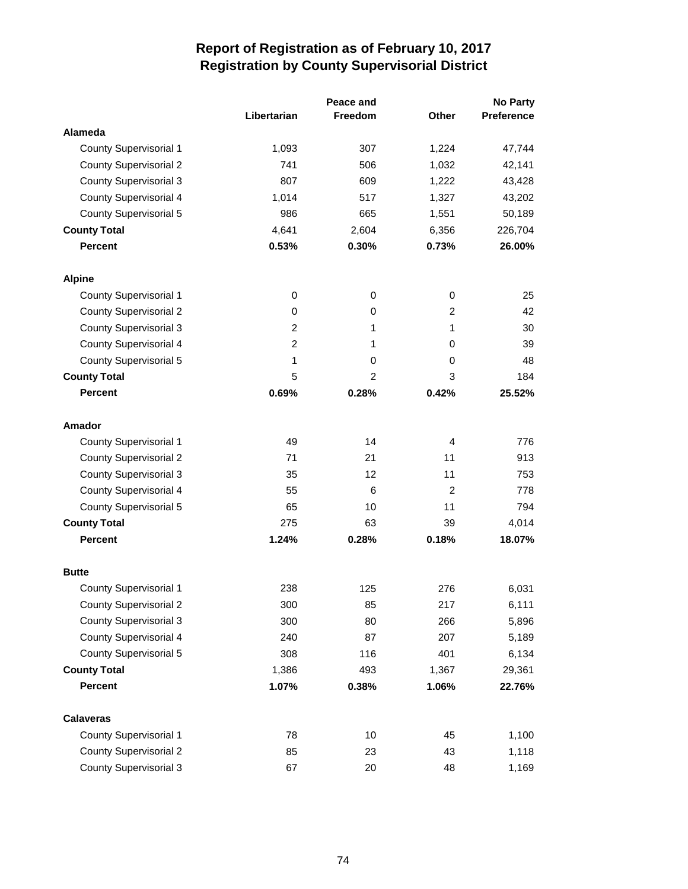|                               |                | Peace and      |                | <b>No Party</b>   |  |
|-------------------------------|----------------|----------------|----------------|-------------------|--|
|                               | Libertarian    | Freedom        | Other          | <b>Preference</b> |  |
| Alameda                       |                |                |                |                   |  |
| <b>County Supervisorial 1</b> | 1,093          | 307            | 1,224          | 47,744            |  |
| <b>County Supervisorial 2</b> | 741            | 506            | 1,032          | 42,141            |  |
| <b>County Supervisorial 3</b> | 807            | 609            | 1,222          | 43,428            |  |
| <b>County Supervisorial 4</b> | 1,014          | 517            | 1,327          | 43,202            |  |
| <b>County Supervisorial 5</b> | 986            | 665            | 1,551          | 50,189            |  |
| <b>County Total</b>           | 4,641          | 2,604          | 6,356          | 226,704           |  |
| <b>Percent</b>                | 0.53%          | 0.30%          | 0.73%          | 26.00%            |  |
| <b>Alpine</b>                 |                |                |                |                   |  |
| County Supervisorial 1        | 0              | 0              | 0              | 25                |  |
| <b>County Supervisorial 2</b> | 0              | 0              | $\overline{2}$ | 42                |  |
| <b>County Supervisorial 3</b> | $\overline{c}$ | 1              | 1              | 30                |  |
| <b>County Supervisorial 4</b> | 2              | 1              | 0              | 39                |  |
| <b>County Supervisorial 5</b> | 1              | 0              | 0              | 48                |  |
| <b>County Total</b>           | 5              | $\overline{2}$ | 3              | 184               |  |
| <b>Percent</b>                | 0.69%          | 0.28%          | 0.42%          | 25.52%            |  |
| Amador                        |                |                |                |                   |  |
| <b>County Supervisorial 1</b> | 49             | 14             | 4              | 776               |  |
| <b>County Supervisorial 2</b> | 71             | 21             | 11             | 913               |  |
| <b>County Supervisorial 3</b> | 35             | 12             | 11             | 753               |  |
| <b>County Supervisorial 4</b> | 55             | 6              | $\overline{c}$ | 778               |  |
| <b>County Supervisorial 5</b> | 65             | 10             | 11             | 794               |  |
| <b>County Total</b>           | 275            | 63             | 39             | 4,014             |  |
| <b>Percent</b>                | 1.24%          | 0.28%          | 0.18%          | 18.07%            |  |
| <b>Butte</b>                  |                |                |                |                   |  |
| <b>County Supervisorial 1</b> | 238            | 125            | 276            | 6,031             |  |
| <b>County Supervisorial 2</b> | 300            | 85             | 217            | 6,111             |  |
| <b>County Supervisorial 3</b> | 300            | 80             | 266            | 5,896             |  |
| <b>County Supervisorial 4</b> | 240            | 87             | 207            | 5,189             |  |
| <b>County Supervisorial 5</b> | 308            | 116            | 401            | 6,134             |  |
| <b>County Total</b>           | 1,386          | 493            | 1,367          | 29,361            |  |
| <b>Percent</b>                | 1.07%          | 0.38%          | 1.06%          | 22.76%            |  |
| <b>Calaveras</b>              |                |                |                |                   |  |
| <b>County Supervisorial 1</b> | 78             | 10             | 45             | 1,100             |  |
| <b>County Supervisorial 2</b> | 85             | 23             | 43             | 1,118             |  |
| <b>County Supervisorial 3</b> | 67             | 20             | 48             | 1,169             |  |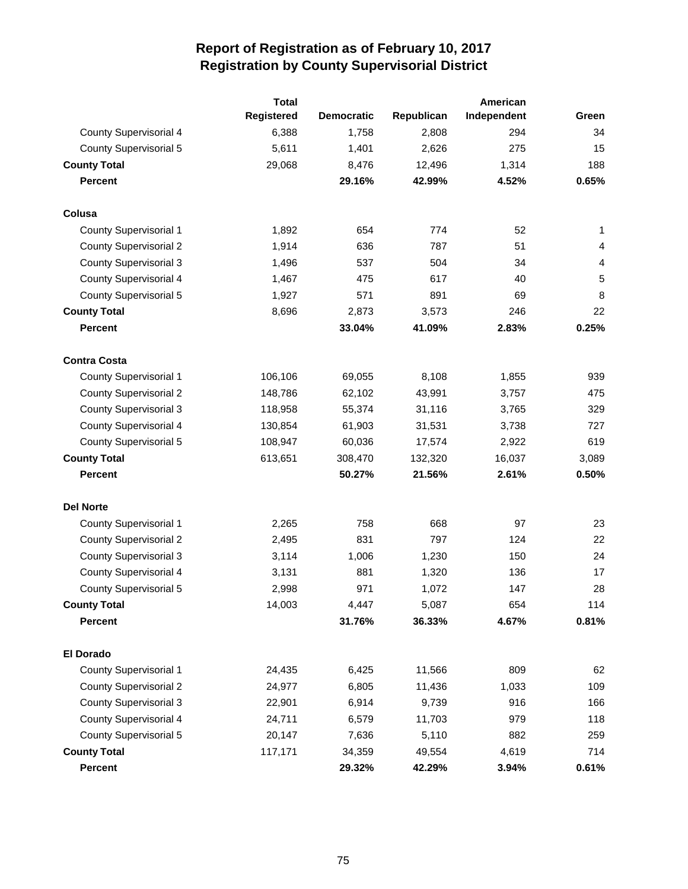|                               | <b>Total</b>      |                   |            | American    |       |
|-------------------------------|-------------------|-------------------|------------|-------------|-------|
|                               | <b>Registered</b> | <b>Democratic</b> | Republican | Independent | Green |
| County Supervisorial 4        | 6,388             | 1,758             | 2,808      | 294         | 34    |
| <b>County Supervisorial 5</b> | 5,611             | 1,401             | 2,626      | 275         | 15    |
| <b>County Total</b>           | 29,068            | 8,476             | 12,496     | 1,314       | 188   |
| <b>Percent</b>                |                   | 29.16%            | 42.99%     | 4.52%       | 0.65% |
| Colusa                        |                   |                   |            |             |       |
| <b>County Supervisorial 1</b> | 1,892             | 654               | 774        | 52          | 1     |
| <b>County Supervisorial 2</b> | 1,914             | 636               | 787        | 51          | 4     |
| <b>County Supervisorial 3</b> | 1,496             | 537               | 504        | 34          | 4     |
| County Supervisorial 4        | 1,467             | 475               | 617        | 40          | 5     |
| <b>County Supervisorial 5</b> | 1,927             | 571               | 891        | 69          | 8     |
| <b>County Total</b>           | 8,696             | 2,873             | 3,573      | 246         | 22    |
| <b>Percent</b>                |                   | 33.04%            | 41.09%     | 2.83%       | 0.25% |
| <b>Contra Costa</b>           |                   |                   |            |             |       |
| <b>County Supervisorial 1</b> | 106,106           | 69,055            | 8,108      | 1,855       | 939   |
| <b>County Supervisorial 2</b> | 148,786           | 62,102            | 43,991     | 3,757       | 475   |
| <b>County Supervisorial 3</b> | 118,958           | 55,374            | 31,116     | 3,765       | 329   |
| County Supervisorial 4        | 130,854           | 61,903            | 31,531     | 3,738       | 727   |
| <b>County Supervisorial 5</b> | 108,947           | 60,036            | 17,574     | 2,922       | 619   |
| <b>County Total</b>           | 613,651           | 308,470           | 132,320    | 16,037      | 3,089 |
| <b>Percent</b>                |                   | 50.27%            | 21.56%     | 2.61%       | 0.50% |
| <b>Del Norte</b>              |                   |                   |            |             |       |
| <b>County Supervisorial 1</b> | 2,265             | 758               | 668        | 97          | 23    |
| <b>County Supervisorial 2</b> | 2,495             | 831               | 797        | 124         | 22    |
| <b>County Supervisorial 3</b> | 3,114             | 1,006             | 1,230      | 150         | 24    |
| <b>County Supervisorial 4</b> | 3,131             | 881               | 1,320      | 136         | 17    |
| <b>County Supervisorial 5</b> | 2,998             | 971               | 1,072      | 147         | 28    |
| <b>County Total</b>           | 14,003            | 4,447             | 5,087      | 654         | 114   |
| <b>Percent</b>                |                   | 31.76%            | 36.33%     | 4.67%       | 0.81% |
| El Dorado                     |                   |                   |            |             |       |
| <b>County Supervisorial 1</b> | 24,435            | 6,425             | 11,566     | 809         | 62    |
| <b>County Supervisorial 2</b> | 24,977            | 6,805             | 11,436     | 1,033       | 109   |
| <b>County Supervisorial 3</b> | 22,901            | 6,914             | 9,739      | 916         | 166   |
| County Supervisorial 4        | 24,711            | 6,579             | 11,703     | 979         | 118   |
| <b>County Supervisorial 5</b> | 20,147            | 7,636             | 5,110      | 882         | 259   |
| <b>County Total</b>           | 117,171           | 34,359            | 49,554     | 4,619       | 714   |
| <b>Percent</b>                |                   | 29.32%            | 42.29%     | 3.94%       | 0.61% |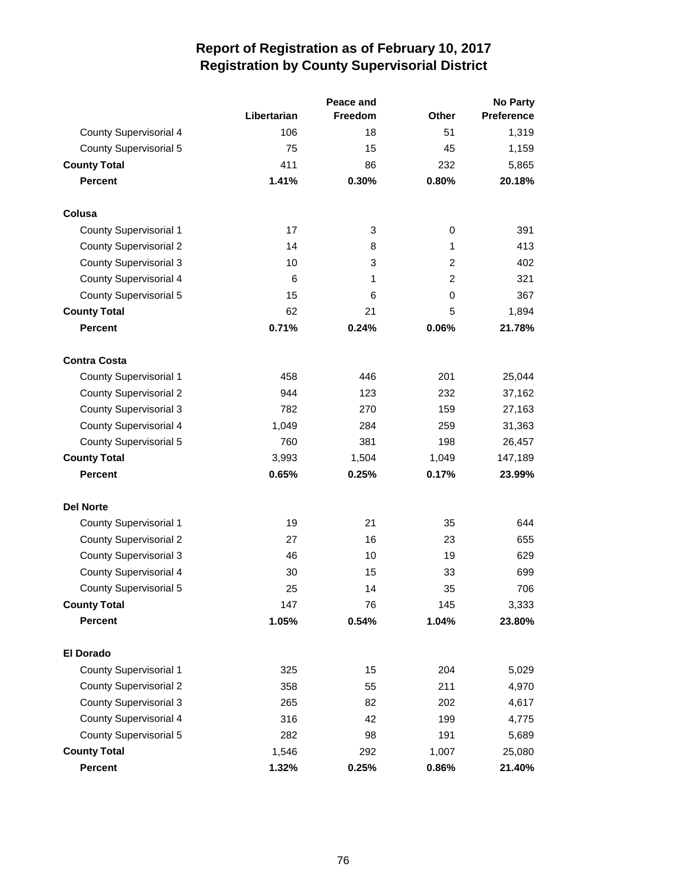|                               |             | Peace and      | No Party       |            |  |
|-------------------------------|-------------|----------------|----------------|------------|--|
|                               | Libertarian | <b>Freedom</b> | <b>Other</b>   | Preference |  |
| <b>County Supervisorial 4</b> | 106         | 18             | 51             | 1,319      |  |
| <b>County Supervisorial 5</b> | 75          | 15             | 45             | 1,159      |  |
| <b>County Total</b>           | 411         | 86             | 232            | 5,865      |  |
| <b>Percent</b>                | 1.41%       | 0.30%          | 0.80%          | 20.18%     |  |
| Colusa                        |             |                |                |            |  |
| <b>County Supervisorial 1</b> | 17          | 3              | 0              | 391        |  |
| <b>County Supervisorial 2</b> | 14          | 8              | 1              | 413        |  |
| <b>County Supervisorial 3</b> | 10          | 3              | 2              | 402        |  |
| <b>County Supervisorial 4</b> | 6           | 1              | $\overline{2}$ | 321        |  |
| <b>County Supervisorial 5</b> | 15          | 6              | 0              | 367        |  |
| <b>County Total</b>           | 62          | 21             | 5              | 1,894      |  |
| <b>Percent</b>                | 0.71%       | 0.24%          | 0.06%          | 21.78%     |  |
| <b>Contra Costa</b>           |             |                |                |            |  |
| <b>County Supervisorial 1</b> | 458         | 446            | 201            | 25,044     |  |
| <b>County Supervisorial 2</b> | 944         | 123            | 232            | 37,162     |  |
| <b>County Supervisorial 3</b> | 782         | 270            | 159            | 27,163     |  |
| <b>County Supervisorial 4</b> | 1,049       | 284            | 259            | 31,363     |  |
| <b>County Supervisorial 5</b> | 760         | 381            | 198            | 26,457     |  |
| <b>County Total</b>           | 3,993       | 1,504          | 1,049          | 147,189    |  |
| <b>Percent</b>                | 0.65%       | 0.25%          | 0.17%          | 23.99%     |  |
| <b>Del Norte</b>              |             |                |                |            |  |
| <b>County Supervisorial 1</b> | 19          | 21             | 35             | 644        |  |
| <b>County Supervisorial 2</b> | 27          | 16             | 23             | 655        |  |
| <b>County Supervisorial 3</b> | 46          | 10             | 19             | 629        |  |
| <b>County Supervisorial 4</b> | 30          | 15             | 33             | 699        |  |
| <b>County Supervisorial 5</b> | 25          | 14             | 35             | 706        |  |
| <b>County Total</b>           | 147         | 76             | 145            | 3,333      |  |
| <b>Percent</b>                | 1.05%       | 0.54%          | 1.04%          | 23.80%     |  |
| <b>El Dorado</b>              |             |                |                |            |  |
| <b>County Supervisorial 1</b> | 325         | 15             | 204            | 5,029      |  |
| <b>County Supervisorial 2</b> | 358         | 55             | 211            | 4,970      |  |
| <b>County Supervisorial 3</b> | 265         | 82             | 202            | 4,617      |  |
| <b>County Supervisorial 4</b> | 316         | 42             | 199            | 4,775      |  |
| <b>County Supervisorial 5</b> | 282         | 98             | 191            | 5,689      |  |
| <b>County Total</b>           | 1,546       | 292            | 1,007          | 25,080     |  |
| Percent                       | 1.32%       | 0.25%          | 0.86%          | 21.40%     |  |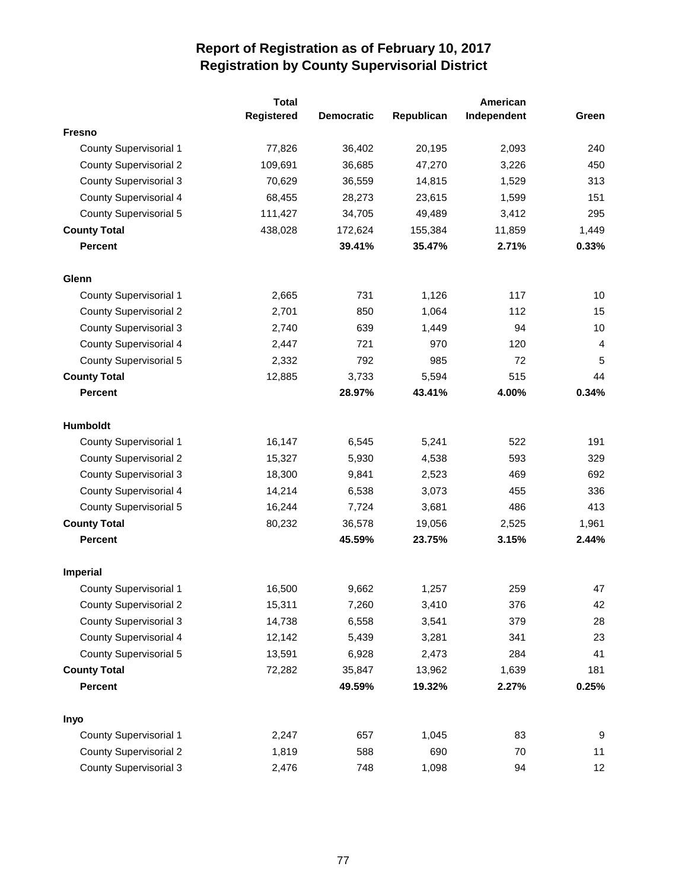|                               | <b>Total</b> | American          |            |             |                  |
|-------------------------------|--------------|-------------------|------------|-------------|------------------|
|                               | Registered   | <b>Democratic</b> | Republican | Independent | Green            |
| <b>Fresno</b>                 |              |                   |            |             |                  |
| <b>County Supervisorial 1</b> | 77,826       | 36,402            | 20,195     | 2,093       | 240              |
| <b>County Supervisorial 2</b> | 109,691      | 36,685            | 47,270     | 3,226       | 450              |
| <b>County Supervisorial 3</b> | 70,629       | 36,559            | 14,815     | 1,529       | 313              |
| <b>County Supervisorial 4</b> | 68,455       | 28,273            | 23,615     | 1,599       | 151              |
| <b>County Supervisorial 5</b> | 111,427      | 34,705            | 49,489     | 3,412       | 295              |
| <b>County Total</b>           | 438,028      | 172,624           | 155,384    | 11,859      | 1,449            |
| <b>Percent</b>                |              | 39.41%            | 35.47%     | 2.71%       | 0.33%            |
| Glenn                         |              |                   |            |             |                  |
| County Supervisorial 1        | 2,665        | 731               | 1,126      | 117         | 10               |
| <b>County Supervisorial 2</b> | 2,701        | 850               | 1,064      | 112         | 15               |
| <b>County Supervisorial 3</b> | 2,740        | 639               | 1,449      | 94          | 10               |
| <b>County Supervisorial 4</b> | 2,447        | 721               | 970        | 120         | 4                |
| <b>County Supervisorial 5</b> | 2,332        | 792               | 985        | 72          | 5                |
| <b>County Total</b>           | 12,885       | 3,733             | 5,594      | 515         | 44               |
| <b>Percent</b>                |              | 28.97%            | 43.41%     | 4.00%       | 0.34%            |
| Humboldt                      |              |                   |            |             |                  |
| <b>County Supervisorial 1</b> | 16,147       | 6,545             | 5,241      | 522         | 191              |
| <b>County Supervisorial 2</b> | 15,327       | 5,930             | 4,538      | 593         | 329              |
| <b>County Supervisorial 3</b> | 18,300       | 9,841             | 2,523      | 469         | 692              |
| <b>County Supervisorial 4</b> | 14,214       | 6,538             | 3,073      | 455         | 336              |
| <b>County Supervisorial 5</b> | 16,244       | 7,724             | 3,681      | 486         | 413              |
| <b>County Total</b>           | 80,232       | 36,578            | 19,056     | 2,525       | 1,961            |
| <b>Percent</b>                |              | 45.59%            | 23.75%     | 3.15%       | 2.44%            |
| <b>Imperial</b>               |              |                   |            |             |                  |
| <b>County Supervisorial 1</b> | 16,500       | 9,662             | 1,257      | 259         | 47               |
| <b>County Supervisorial 2</b> | 15,311       | 7,260             | 3,410      | 376         | 42               |
| <b>County Supervisorial 3</b> | 14,738       | 6,558             | 3,541      | 379         | 28               |
| County Supervisorial 4        | 12,142       | 5,439             | 3,281      | 341         | 23               |
| <b>County Supervisorial 5</b> | 13,591       | 6,928             | 2,473      | 284         | 41               |
| <b>County Total</b>           | 72,282       | 35,847            | 13,962     | 1,639       | 181              |
| <b>Percent</b>                |              | 49.59%            | 19.32%     | 2.27%       | 0.25%            |
| Inyo                          |              |                   |            |             |                  |
| <b>County Supervisorial 1</b> | 2,247        | 657               | 1,045      | 83          | $\boldsymbol{9}$ |
| <b>County Supervisorial 2</b> | 1,819        | 588               | 690        | 70          | 11               |
| <b>County Supervisorial 3</b> | 2,476        | 748               | 1,098      | 94          | 12               |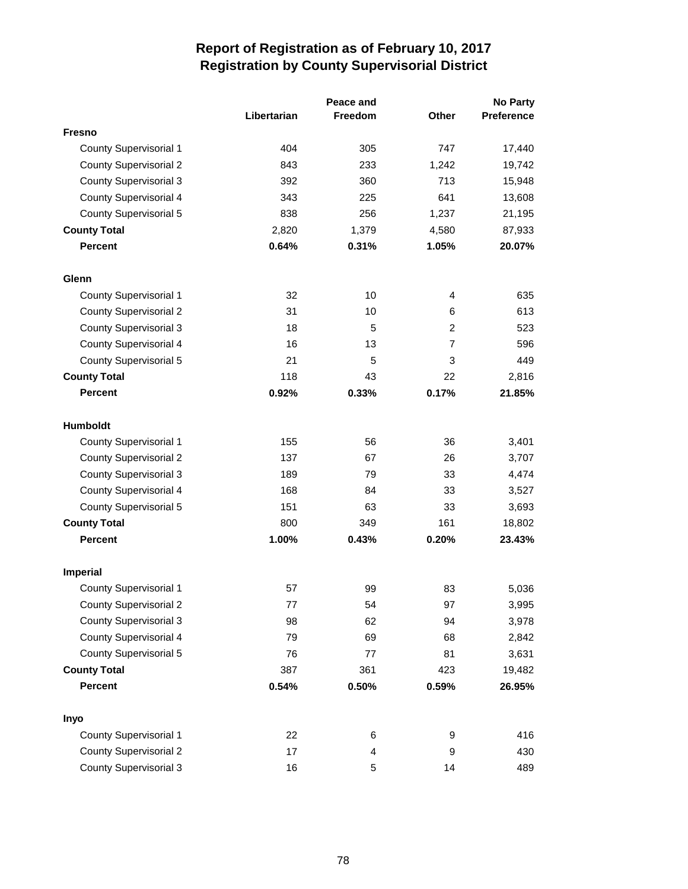|                               |             | Peace and      |                | <b>No Party</b>   |  |
|-------------------------------|-------------|----------------|----------------|-------------------|--|
|                               | Libertarian | <b>Freedom</b> | <b>Other</b>   | <b>Preference</b> |  |
| <b>Fresno</b>                 |             |                |                |                   |  |
| <b>County Supervisorial 1</b> | 404         | 305            | 747            | 17,440            |  |
| <b>County Supervisorial 2</b> | 843         | 233            | 1,242          | 19,742            |  |
| <b>County Supervisorial 3</b> | 392         | 360            | 713            | 15,948            |  |
| <b>County Supervisorial 4</b> | 343         | 225            | 641            | 13,608            |  |
| <b>County Supervisorial 5</b> | 838         | 256            | 1,237          | 21,195            |  |
| <b>County Total</b>           | 2,820       | 1,379          | 4,580          | 87,933            |  |
| <b>Percent</b>                | 0.64%       | 0.31%          | 1.05%          | 20.07%            |  |
| Glenn                         |             |                |                |                   |  |
| <b>County Supervisorial 1</b> | 32          | 10             | 4              | 635               |  |
| <b>County Supervisorial 2</b> | 31          | 10             | 6              | 613               |  |
| <b>County Supervisorial 3</b> | 18          | 5              | $\overline{c}$ | 523               |  |
| <b>County Supervisorial 4</b> | 16          | 13             | $\overline{7}$ | 596               |  |
| <b>County Supervisorial 5</b> | 21          | 5              | 3              | 449               |  |
| <b>County Total</b>           | 118         | 43             | 22             | 2,816             |  |
| <b>Percent</b>                | 0.92%       | 0.33%          | 0.17%          | 21.85%            |  |
| Humboldt                      |             |                |                |                   |  |
| County Supervisorial 1        | 155         | 56             | 36             | 3,401             |  |
| <b>County Supervisorial 2</b> | 137         | 67             | 26             | 3,707             |  |
| <b>County Supervisorial 3</b> | 189         | 79             | 33             | 4,474             |  |
| County Supervisorial 4        | 168         | 84             | 33             | 3,527             |  |
| <b>County Supervisorial 5</b> | 151         | 63             | 33             | 3,693             |  |
| <b>County Total</b>           | 800         | 349            | 161            | 18,802            |  |
| <b>Percent</b>                | 1.00%       | 0.43%          | 0.20%          | 23.43%            |  |
| <b>Imperial</b>               |             |                |                |                   |  |
| <b>County Supervisorial 1</b> | 57          | 99             | 83             | 5,036             |  |
| <b>County Supervisorial 2</b> | 77          | 54             | 97             | 3,995             |  |
| <b>County Supervisorial 3</b> | 98          | 62             | 94             | 3,978             |  |
| <b>County Supervisorial 4</b> | 79          | 69             | 68             | 2,842             |  |
| <b>County Supervisorial 5</b> | 76          | 77             | 81             | 3,631             |  |
| <b>County Total</b>           | 387         | 361            | 423            | 19,482            |  |
| <b>Percent</b>                | 0.54%       | 0.50%          | 0.59%          | 26.95%            |  |
| Inyo                          |             |                |                |                   |  |
| <b>County Supervisorial 1</b> | 22          | 6              | 9              | 416               |  |
| <b>County Supervisorial 2</b> | 17          | 4              | 9              | 430               |  |
| <b>County Supervisorial 3</b> | 16          | 5              | 14             | 489               |  |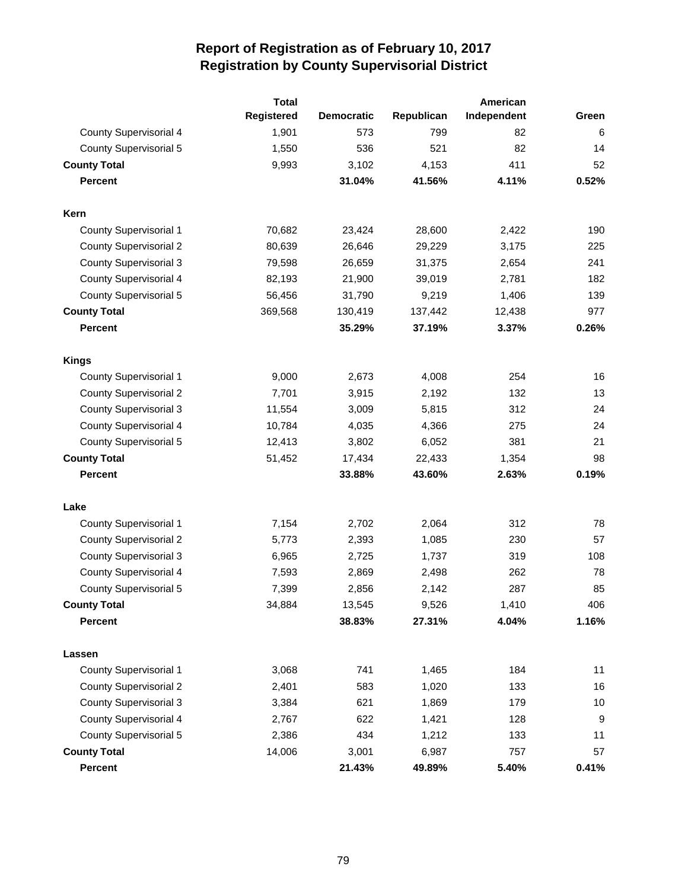|                               | <b>Total</b>      |                   |            | American    |       |
|-------------------------------|-------------------|-------------------|------------|-------------|-------|
|                               | <b>Registered</b> | <b>Democratic</b> | Republican | Independent | Green |
| County Supervisorial 4        | 1,901             | 573               | 799        | 82          | 6     |
| <b>County Supervisorial 5</b> | 1,550             | 536               | 521        | 82          | 14    |
| <b>County Total</b>           | 9,993             | 3,102             | 4,153      | 411         | 52    |
| <b>Percent</b>                |                   | 31.04%            | 41.56%     | 4.11%       | 0.52% |
| Kern                          |                   |                   |            |             |       |
| <b>County Supervisorial 1</b> | 70,682            | 23,424            | 28,600     | 2,422       | 190   |
| <b>County Supervisorial 2</b> | 80,639            | 26,646            | 29,229     | 3,175       | 225   |
| <b>County Supervisorial 3</b> | 79,598            | 26,659            | 31,375     | 2,654       | 241   |
| County Supervisorial 4        | 82,193            | 21,900            | 39,019     | 2,781       | 182   |
| <b>County Supervisorial 5</b> | 56,456            | 31,790            | 9,219      | 1,406       | 139   |
| <b>County Total</b>           | 369,568           | 130,419           | 137,442    | 12,438      | 977   |
| <b>Percent</b>                |                   | 35.29%            | 37.19%     | 3.37%       | 0.26% |
| <b>Kings</b>                  |                   |                   |            |             |       |
| County Supervisorial 1        | 9,000             | 2,673             | 4,008      | 254         | 16    |
| <b>County Supervisorial 2</b> | 7,701             | 3,915             | 2,192      | 132         | 13    |
| <b>County Supervisorial 3</b> | 11,554            | 3,009             | 5,815      | 312         | 24    |
| <b>County Supervisorial 4</b> | 10,784            | 4,035             | 4,366      | 275         | 24    |
| <b>County Supervisorial 5</b> | 12,413            | 3,802             | 6,052      | 381         | 21    |
| <b>County Total</b>           | 51,452            | 17,434            | 22,433     | 1,354       | 98    |
| <b>Percent</b>                |                   | 33.88%            | 43.60%     | 2.63%       | 0.19% |
| Lake                          |                   |                   |            |             |       |
| <b>County Supervisorial 1</b> | 7,154             | 2,702             | 2,064      | 312         | 78    |
| <b>County Supervisorial 2</b> | 5,773             | 2,393             | 1,085      | 230         | 57    |
| <b>County Supervisorial 3</b> | 6,965             | 2,725             | 1,737      | 319         | 108   |
| County Supervisorial 4        | 7,593             | 2,869             | 2,498      | 262         | 78    |
| <b>County Supervisorial 5</b> | 7,399             | 2,856             | 2,142      | 287         | 85    |
| <b>County Total</b>           | 34,884            | 13,545            | 9,526      | 1,410       | 406   |
| <b>Percent</b>                |                   | 38.83%            | 27.31%     | 4.04%       | 1.16% |
| Lassen                        |                   |                   |            |             |       |
| <b>County Supervisorial 1</b> | 3,068             | 741               | 1,465      | 184         | 11    |
| <b>County Supervisorial 2</b> | 2,401             | 583               | 1,020      | 133         | 16    |
| <b>County Supervisorial 3</b> | 3,384             | 621               | 1,869      | 179         | 10    |
| <b>County Supervisorial 4</b> | 2,767             | 622               | 1,421      | 128         | 9     |
| <b>County Supervisorial 5</b> | 2,386             | 434               | 1,212      | 133         | 11    |
| <b>County Total</b>           | 14,006            | 3,001             | 6,987      | 757         | 57    |
| Percent                       |                   | 21.43%            | 49.89%     | 5.40%       | 0.41% |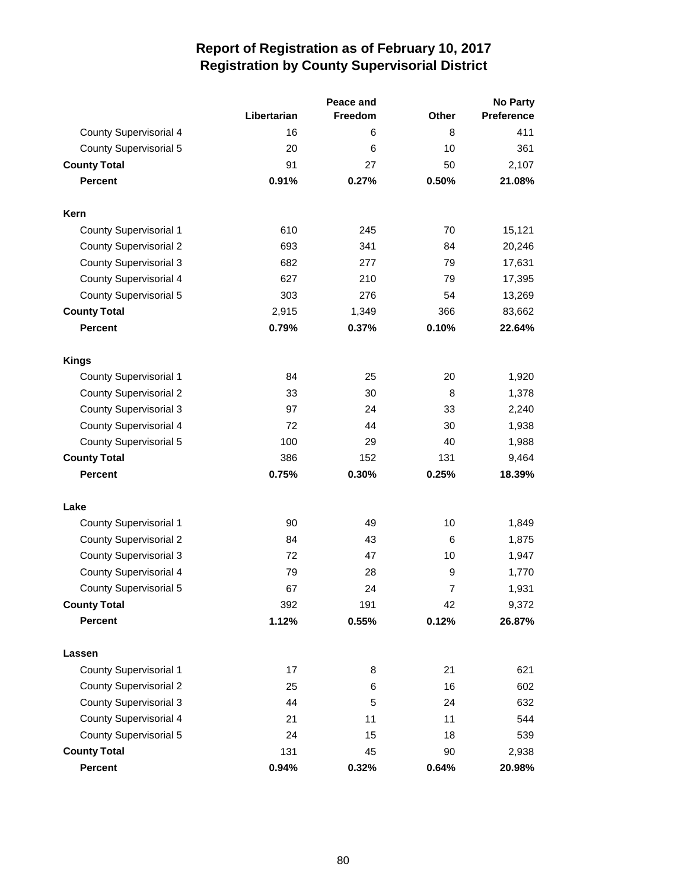|                               |             | Peace and | No Party       |            |  |
|-------------------------------|-------------|-----------|----------------|------------|--|
|                               | Libertarian | Freedom   | <b>Other</b>   | Preference |  |
| <b>County Supervisorial 4</b> | 16          | 6         | 8              | 411        |  |
| <b>County Supervisorial 5</b> | 20          | 6         | 10             | 361        |  |
| <b>County Total</b>           | 91          | 27        | 50             | 2,107      |  |
| <b>Percent</b>                | 0.91%       | 0.27%     | 0.50%          | 21.08%     |  |
| Kern                          |             |           |                |            |  |
| <b>County Supervisorial 1</b> | 610         | 245       | 70             | 15,121     |  |
| <b>County Supervisorial 2</b> | 693         | 341       | 84             | 20,246     |  |
| <b>County Supervisorial 3</b> | 682         | 277       | 79             | 17,631     |  |
| County Supervisorial 4        | 627         | 210       | 79             | 17,395     |  |
| <b>County Supervisorial 5</b> | 303         | 276       | 54             | 13,269     |  |
| <b>County Total</b>           | 2,915       | 1,349     | 366            | 83,662     |  |
| <b>Percent</b>                | 0.79%       | 0.37%     | 0.10%          | 22.64%     |  |
| <b>Kings</b>                  |             |           |                |            |  |
| <b>County Supervisorial 1</b> | 84          | 25        | 20             | 1,920      |  |
| <b>County Supervisorial 2</b> | 33          | 30        | 8              | 1,378      |  |
| <b>County Supervisorial 3</b> | 97          | 24        | 33             | 2,240      |  |
| County Supervisorial 4        | 72          | 44        | 30             | 1,938      |  |
| <b>County Supervisorial 5</b> | 100         | 29        | 40             | 1,988      |  |
| <b>County Total</b>           | 386         | 152       | 131            | 9,464      |  |
| <b>Percent</b>                | 0.75%       | 0.30%     | 0.25%          | 18.39%     |  |
| Lake                          |             |           |                |            |  |
| <b>County Supervisorial 1</b> | 90          | 49        | 10             | 1,849      |  |
| <b>County Supervisorial 2</b> | 84          | 43        | 6              | 1,875      |  |
| <b>County Supervisorial 3</b> | 72          | 47        | 10             | 1,947      |  |
| County Supervisorial 4        | 79          | 28        | 9              | 1,770      |  |
| <b>County Supervisorial 5</b> | 67          | 24        | $\overline{7}$ | 1,931      |  |
| <b>County Total</b>           | 392         | 191       | 42             | 9,372      |  |
| Percent                       | 1.12%       | 0.55%     | 0.12%          | 26.87%     |  |
| Lassen                        |             |           |                |            |  |
| County Supervisorial 1        | 17          | 8         | 21             | 621        |  |
| <b>County Supervisorial 2</b> | 25          | 6         | 16             | 602        |  |
| <b>County Supervisorial 3</b> | 44          | 5         | 24             | 632        |  |
| <b>County Supervisorial 4</b> | 21          | 11        | 11             | 544        |  |
| <b>County Supervisorial 5</b> | 24          | 15        | 18             | 539        |  |
| <b>County Total</b>           | 131         | 45        | 90             | 2,938      |  |
| Percent                       | 0.94%       | 0.32%     | 0.64%          | 20.98%     |  |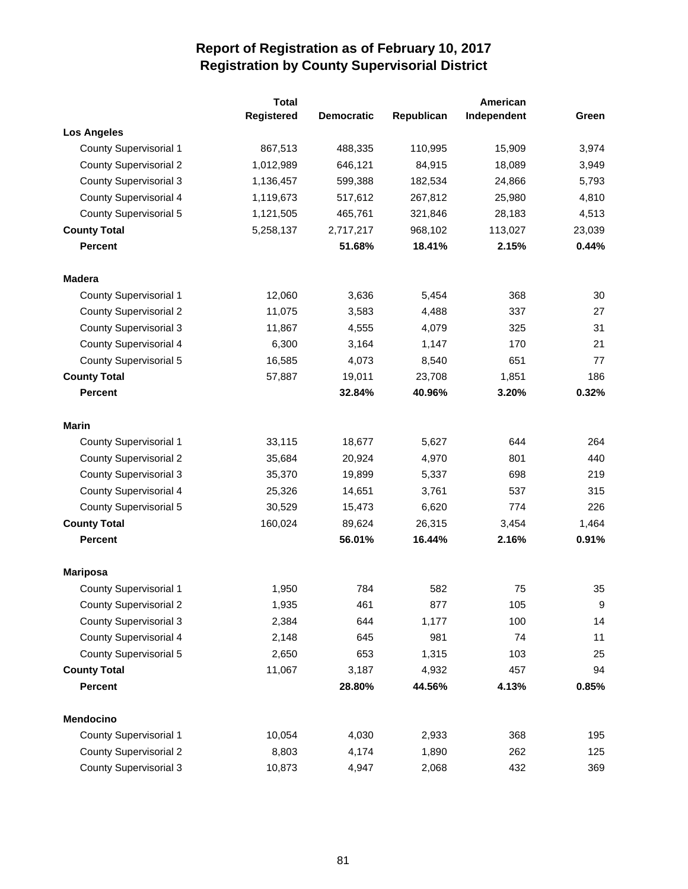|                               | <b>Total</b> |                   |            | American    |        |
|-------------------------------|--------------|-------------------|------------|-------------|--------|
|                               | Registered   | <b>Democratic</b> | Republican | Independent | Green  |
| <b>Los Angeles</b>            |              |                   |            |             |        |
| <b>County Supervisorial 1</b> | 867,513      | 488,335           | 110,995    | 15,909      | 3,974  |
| <b>County Supervisorial 2</b> | 1,012,989    | 646,121           | 84,915     | 18,089      | 3,949  |
| <b>County Supervisorial 3</b> | 1,136,457    | 599,388           | 182,534    | 24,866      | 5,793  |
| County Supervisorial 4        | 1,119,673    | 517,612           | 267,812    | 25,980      | 4,810  |
| <b>County Supervisorial 5</b> | 1,121,505    | 465,761           | 321,846    | 28,183      | 4,513  |
| <b>County Total</b>           | 5,258,137    | 2,717,217         | 968,102    | 113,027     | 23,039 |
| <b>Percent</b>                |              | 51.68%            | 18.41%     | 2.15%       | 0.44%  |
| <b>Madera</b>                 |              |                   |            |             |        |
| <b>County Supervisorial 1</b> | 12,060       | 3,636             | 5,454      | 368         | 30     |
| <b>County Supervisorial 2</b> | 11,075       | 3,583             | 4,488      | 337         | 27     |
| <b>County Supervisorial 3</b> | 11,867       | 4,555             | 4,079      | 325         | 31     |
| County Supervisorial 4        | 6,300        | 3,164             | 1,147      | 170         | 21     |
| <b>County Supervisorial 5</b> | 16,585       | 4,073             | 8,540      | 651         | 77     |
| <b>County Total</b>           | 57,887       | 19,011            | 23,708     | 1,851       | 186    |
| <b>Percent</b>                |              | 32.84%            | 40.96%     | 3.20%       | 0.32%  |
| <b>Marin</b>                  |              |                   |            |             |        |
| <b>County Supervisorial 1</b> | 33,115       | 18,677            | 5,627      | 644         | 264    |
| <b>County Supervisorial 2</b> | 35,684       | 20,924            | 4,970      | 801         | 440    |
| <b>County Supervisorial 3</b> | 35,370       | 19,899            | 5,337      | 698         | 219    |
| County Supervisorial 4        | 25,326       | 14,651            | 3,761      | 537         | 315    |
| <b>County Supervisorial 5</b> | 30,529       | 15,473            | 6,620      | 774         | 226    |
| <b>County Total</b>           | 160,024      | 89,624            | 26,315     | 3,454       | 1,464  |
| <b>Percent</b>                |              | 56.01%            | 16.44%     | 2.16%       | 0.91%  |
| <b>Mariposa</b>               |              |                   |            |             |        |
| <b>County Supervisorial 1</b> | 1,950        | 784               | 582        | 75          | 35     |
| <b>County Supervisorial 2</b> | 1,935        | 461               | 877        | 105         | 9      |
| <b>County Supervisorial 3</b> | 2,384        | 644               | 1,177      | 100         | 14     |
| County Supervisorial 4        | 2,148        | 645               | 981        | 74          | 11     |
| County Supervisorial 5        | 2,650        | 653               | 1,315      | 103         | 25     |
| <b>County Total</b>           | 11,067       | 3,187             | 4,932      | 457         | 94     |
| Percent                       |              | 28.80%            | 44.56%     | 4.13%       | 0.85%  |
| Mendocino                     |              |                   |            |             |        |
| <b>County Supervisorial 1</b> | 10,054       | 4,030             | 2,933      | 368         | 195    |
| <b>County Supervisorial 2</b> | 8,803        | 4,174             | 1,890      | 262         | 125    |
| <b>County Supervisorial 3</b> | 10,873       | 4,947             | 2,068      | 432         | 369    |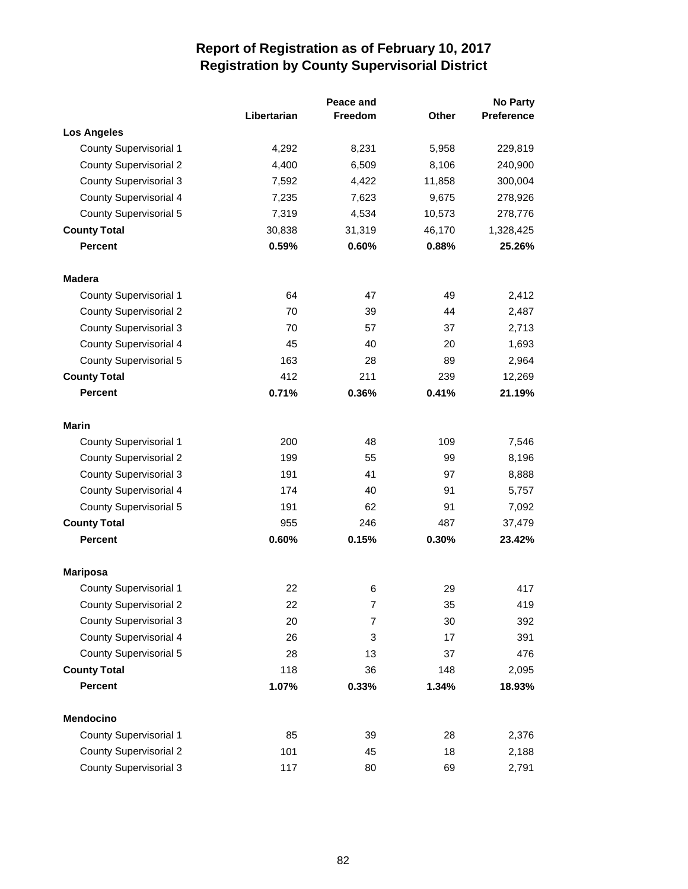|                               |             | Peace and      |              | No Party   |  |
|-------------------------------|-------------|----------------|--------------|------------|--|
|                               | Libertarian | <b>Freedom</b> | <b>Other</b> | Preference |  |
| <b>Los Angeles</b>            |             |                |              |            |  |
| County Supervisorial 1        | 4,292       | 8,231          | 5,958        | 229,819    |  |
| <b>County Supervisorial 2</b> | 4,400       | 6,509          | 8,106        | 240,900    |  |
| <b>County Supervisorial 3</b> | 7,592       | 4,422          | 11,858       | 300,004    |  |
| County Supervisorial 4        | 7,235       | 7,623          | 9,675        | 278,926    |  |
| <b>County Supervisorial 5</b> | 7,319       | 4,534          | 10,573       | 278,776    |  |
| <b>County Total</b>           | 30,838      | 31,319         | 46,170       | 1,328,425  |  |
| <b>Percent</b>                | 0.59%       | 0.60%          | 0.88%        | 25.26%     |  |
| <b>Madera</b>                 |             |                |              |            |  |
| <b>County Supervisorial 1</b> | 64          | 47             | 49           | 2,412      |  |
| <b>County Supervisorial 2</b> | 70          | 39             | 44           | 2,487      |  |
| <b>County Supervisorial 3</b> | 70          | 57             | 37           | 2,713      |  |
| <b>County Supervisorial 4</b> | 45          | 40             | 20           | 1,693      |  |
| <b>County Supervisorial 5</b> | 163         | 28             | 89           | 2,964      |  |
| <b>County Total</b>           | 412         | 211            | 239          | 12,269     |  |
| <b>Percent</b>                | 0.71%       | 0.36%          | 0.41%        | 21.19%     |  |
| <b>Marin</b>                  |             |                |              |            |  |
| <b>County Supervisorial 1</b> | 200         | 48             | 109          | 7,546      |  |
| <b>County Supervisorial 2</b> | 199         | 55             | 99           | 8,196      |  |
| <b>County Supervisorial 3</b> | 191         | 41             | 97           | 8,888      |  |
| <b>County Supervisorial 4</b> | 174         | 40             | 91           | 5,757      |  |
| <b>County Supervisorial 5</b> | 191         | 62             | 91           | 7,092      |  |
| <b>County Total</b>           | 955         | 246            | 487          | 37,479     |  |
| Percent                       | 0.60%       | 0.15%          | 0.30%        | 23.42%     |  |
| <b>Mariposa</b>               |             |                |              |            |  |
| <b>County Supervisorial 1</b> | 22          | 6              | 29           | 417        |  |
| <b>County Supervisorial 2</b> | 22          | 7              | 35           | 419        |  |
| <b>County Supervisorial 3</b> | 20          | $\overline{7}$ | 30           | 392        |  |
| <b>County Supervisorial 4</b> | 26          | 3              | 17           | 391        |  |
| <b>County Supervisorial 5</b> | 28          | 13             | 37           | 476        |  |
| <b>County Total</b>           | 118         | 36             | 148          | 2,095      |  |
| <b>Percent</b>                | 1.07%       | 0.33%          | 1.34%        | 18.93%     |  |
| <b>Mendocino</b>              |             |                |              |            |  |
| County Supervisorial 1        | 85          | 39             | 28           | 2,376      |  |
| <b>County Supervisorial 2</b> | 101         | 45             | 18           | 2,188      |  |
| <b>County Supervisorial 3</b> | 117         | 80             | 69           | 2,791      |  |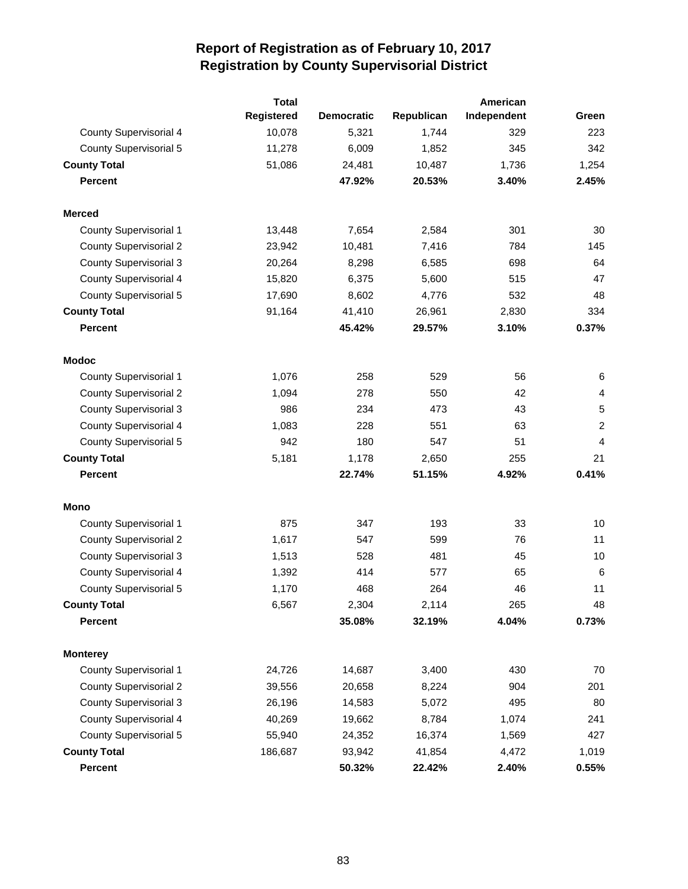|                               | <b>Total</b> |                   |            | American    |                |
|-------------------------------|--------------|-------------------|------------|-------------|----------------|
|                               | Registered   | <b>Democratic</b> | Republican | Independent | Green          |
| <b>County Supervisorial 4</b> | 10,078       | 5,321             | 1,744      | 329         | 223            |
| <b>County Supervisorial 5</b> | 11,278       | 6,009             | 1,852      | 345         | 342            |
| <b>County Total</b>           | 51,086       | 24,481            | 10,487     | 1,736       | 1,254          |
| <b>Percent</b>                |              | 47.92%            | 20.53%     | 3.40%       | 2.45%          |
| <b>Merced</b>                 |              |                   |            |             |                |
| <b>County Supervisorial 1</b> | 13,448       | 7,654             | 2,584      | 301         | 30             |
| <b>County Supervisorial 2</b> | 23,942       | 10,481            | 7,416      | 784         | 145            |
| <b>County Supervisorial 3</b> | 20,264       | 8,298             | 6,585      | 698         | 64             |
| <b>County Supervisorial 4</b> | 15,820       | 6,375             | 5,600      | 515         | 47             |
| <b>County Supervisorial 5</b> | 17,690       | 8,602             | 4,776      | 532         | 48             |
| <b>County Total</b>           | 91,164       | 41,410            | 26,961     | 2,830       | 334            |
| <b>Percent</b>                |              | 45.42%            | 29.57%     | 3.10%       | 0.37%          |
| <b>Modoc</b>                  |              |                   |            |             |                |
| <b>County Supervisorial 1</b> | 1,076        | 258               | 529        | 56          | 6              |
| <b>County Supervisorial 2</b> | 1,094        | 278               | 550        | 42          | 4              |
| <b>County Supervisorial 3</b> | 986          | 234               | 473        | 43          | 5              |
| <b>County Supervisorial 4</b> | 1,083        | 228               | 551        | 63          | $\overline{c}$ |
| <b>County Supervisorial 5</b> | 942          | 180               | 547        | 51          | 4              |
| <b>County Total</b>           | 5,181        | 1,178             | 2,650      | 255         | 21             |
| <b>Percent</b>                |              | 22.74%            | 51.15%     | 4.92%       | 0.41%          |
| Mono                          |              |                   |            |             |                |
| <b>County Supervisorial 1</b> | 875          | 347               | 193        | 33          | 10             |
| <b>County Supervisorial 2</b> | 1,617        | 547               | 599        | 76          | 11             |
| <b>County Supervisorial 3</b> | 1,513        | 528               | 481        | 45          | 10             |
| <b>County Supervisorial 4</b> | 1,392        | 414               | 577        | 65          | 6              |
| <b>County Supervisorial 5</b> | 1,170        | 468               | 264        | 46          | 11             |
| <b>County Total</b>           | 6,567        | 2,304             | 2,114      | 265         | 48             |
| <b>Percent</b>                |              | 35.08%            | 32.19%     | 4.04%       | 0.73%          |
| <b>Monterey</b>               |              |                   |            |             |                |
| <b>County Supervisorial 1</b> | 24,726       | 14,687            | 3,400      | 430         | 70             |
| <b>County Supervisorial 2</b> | 39,556       | 20,658            | 8,224      | 904         | 201            |
| <b>County Supervisorial 3</b> | 26,196       | 14,583            | 5,072      | 495         | 80             |
| <b>County Supervisorial 4</b> | 40,269       | 19,662            | 8,784      | 1,074       | 241            |
| <b>County Supervisorial 5</b> | 55,940       | 24,352            | 16,374     | 1,569       | 427            |
| <b>County Total</b>           | 186,687      | 93,942            | 41,854     | 4,472       | 1,019          |
| Percent                       |              | 50.32%            | 22.42%     | 2.40%       | 0.55%          |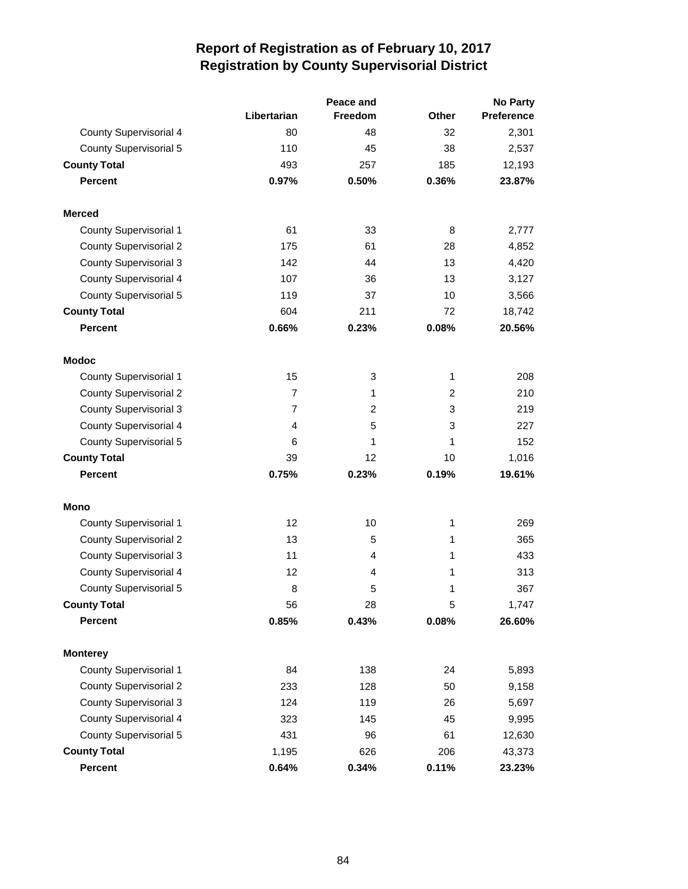|                               |                | Peace and      | No Party     |            |  |
|-------------------------------|----------------|----------------|--------------|------------|--|
|                               | Libertarian    | <b>Freedom</b> | <b>Other</b> | Preference |  |
| <b>County Supervisorial 4</b> | 80             | 48             | 32           | 2,301      |  |
| <b>County Supervisorial 5</b> | 110            | 45             | 38           | 2,537      |  |
| <b>County Total</b>           | 493            | 257            | 185          | 12,193     |  |
| <b>Percent</b>                | 0.97%          | 0.50%          | 0.36%        | 23.87%     |  |
| <b>Merced</b>                 |                |                |              |            |  |
| <b>County Supervisorial 1</b> | 61             | 33             | 8            | 2,777      |  |
| <b>County Supervisorial 2</b> | 175            | 61             | 28           | 4,852      |  |
| <b>County Supervisorial 3</b> | 142            | 44             | 13           | 4,420      |  |
| <b>County Supervisorial 4</b> | 107            | 36             | 13           | 3,127      |  |
| <b>County Supervisorial 5</b> | 119            | 37             | 10           | 3,566      |  |
| <b>County Total</b>           | 604            | 211            | 72           | 18,742     |  |
| <b>Percent</b>                | 0.66%          | 0.23%          | 0.08%        | 20.56%     |  |
| <b>Modoc</b>                  |                |                |              |            |  |
| <b>County Supervisorial 1</b> | 15             | 3              | 1            | 208        |  |
| <b>County Supervisorial 2</b> | $\overline{7}$ | $\mathbf{1}$   | 2            | 210        |  |
| <b>County Supervisorial 3</b> | $\overline{7}$ | 2              | 3            | 219        |  |
| <b>County Supervisorial 4</b> | 4              | 5              | 3            | 227        |  |
| <b>County Supervisorial 5</b> | 6              | 1              | 1            | 152        |  |
| <b>County Total</b>           | 39             | 12             | 10           | 1,016      |  |
| <b>Percent</b>                | 0.75%          | 0.23%          | 0.19%        | 19.61%     |  |
| Mono                          |                |                |              |            |  |
| <b>County Supervisorial 1</b> | 12             | 10             | 1            | 269        |  |
| <b>County Supervisorial 2</b> | 13             | 5              | 1            | 365        |  |
| <b>County Supervisorial 3</b> | 11             | 4              | 1            | 433        |  |
| <b>County Supervisorial 4</b> | 12             | 4              | 1            | 313        |  |
| <b>County Supervisorial 5</b> | 8              | 5              | 1            | 367        |  |
| <b>County Total</b>           | 56             | 28             | 5            | 1,747      |  |
| <b>Percent</b>                | 0.85%          | 0.43%          | 0.08%        | 26.60%     |  |
| <b>Monterey</b>               |                |                |              |            |  |
| <b>County Supervisorial 1</b> | 84             | 138            | 24           | 5,893      |  |
| <b>County Supervisorial 2</b> | 233            | 128            | 50           | 9,158      |  |
| <b>County Supervisorial 3</b> | 124            | 119            | 26           | 5,697      |  |
| <b>County Supervisorial 4</b> | 323            | 145            | 45           | 9,995      |  |
| <b>County Supervisorial 5</b> | 431            | 96             | 61           | 12,630     |  |
| <b>County Total</b>           | 1,195          | 626            | 206          | 43,373     |  |
| Percent                       | 0.64%          | 0.34%          | 0.11%        | 23.23%     |  |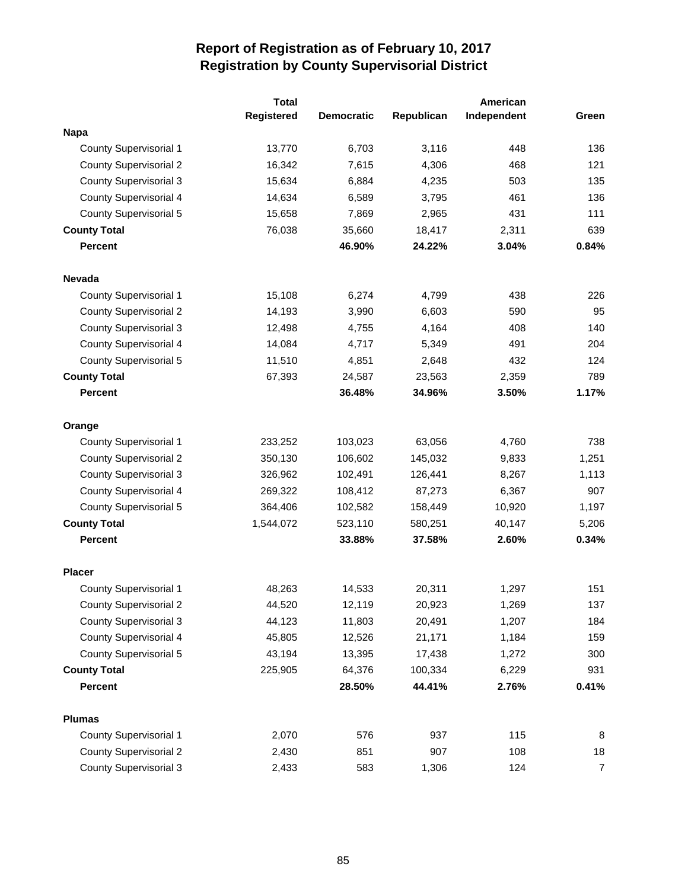|                               | <b>Total</b> |                   | American   |             |                |  |  |  |  |
|-------------------------------|--------------|-------------------|------------|-------------|----------------|--|--|--|--|
|                               | Registered   | <b>Democratic</b> | Republican | Independent | Green          |  |  |  |  |
| <b>Napa</b>                   |              |                   |            |             |                |  |  |  |  |
| <b>County Supervisorial 1</b> | 13,770       | 6,703             | 3,116      | 448         | 136            |  |  |  |  |
| <b>County Supervisorial 2</b> | 16,342       | 7,615             | 4,306      | 468         | 121            |  |  |  |  |
| <b>County Supervisorial 3</b> | 15,634       | 6,884             | 4,235      | 503         | 135            |  |  |  |  |
| <b>County Supervisorial 4</b> | 14,634       | 6,589             | 3,795      | 461         | 136            |  |  |  |  |
| <b>County Supervisorial 5</b> | 15,658       | 7,869             | 2,965      | 431         | 111            |  |  |  |  |
| <b>County Total</b>           | 76,038       | 35,660            | 18,417     | 2,311       | 639            |  |  |  |  |
| <b>Percent</b>                |              | 46.90%            | 24.22%     | 3.04%       | 0.84%          |  |  |  |  |
| <b>Nevada</b>                 |              |                   |            |             |                |  |  |  |  |
| <b>County Supervisorial 1</b> | 15,108       | 6,274             | 4,799      | 438         | 226            |  |  |  |  |
| <b>County Supervisorial 2</b> | 14,193       | 3,990             | 6,603      | 590         | 95             |  |  |  |  |
| <b>County Supervisorial 3</b> | 12,498       | 4,755             | 4,164      | 408         | 140            |  |  |  |  |
| <b>County Supervisorial 4</b> | 14,084       | 4,717             | 5,349      | 491         | 204            |  |  |  |  |
| <b>County Supervisorial 5</b> | 11,510       | 4,851             | 2,648      | 432         | 124            |  |  |  |  |
| <b>County Total</b>           | 67,393       | 24,587            | 23,563     | 2,359       | 789            |  |  |  |  |
| <b>Percent</b>                |              | 36.48%            | 34.96%     | 3.50%       | 1.17%          |  |  |  |  |
| Orange                        |              |                   |            |             |                |  |  |  |  |
| <b>County Supervisorial 1</b> | 233,252      | 103,023           | 63,056     | 4,760       | 738            |  |  |  |  |
| <b>County Supervisorial 2</b> | 350,130      | 106,602           | 145,032    | 9,833       | 1,251          |  |  |  |  |
| <b>County Supervisorial 3</b> | 326,962      | 102,491           | 126,441    | 8,267       | 1,113          |  |  |  |  |
| <b>County Supervisorial 4</b> | 269,322      | 108,412           | 87,273     | 6,367       | 907            |  |  |  |  |
| <b>County Supervisorial 5</b> | 364,406      | 102,582           | 158,449    | 10,920      | 1,197          |  |  |  |  |
| <b>County Total</b>           | 1,544,072    | 523,110           | 580,251    | 40,147      | 5,206          |  |  |  |  |
| <b>Percent</b>                |              | 33.88%            | 37.58%     | 2.60%       | 0.34%          |  |  |  |  |
| <b>Placer</b>                 |              |                   |            |             |                |  |  |  |  |
| <b>County Supervisorial 1</b> | 48,263       | 14,533            | 20,311     | 1,297       | 151            |  |  |  |  |
| <b>County Supervisorial 2</b> | 44,520       | 12,119            | 20,923     | 1,269       | 137            |  |  |  |  |
| <b>County Supervisorial 3</b> | 44,123       | 11,803            | 20,491     | 1,207       | 184            |  |  |  |  |
| <b>County Supervisorial 4</b> | 45,805       | 12,526            | 21,171     | 1,184       | 159            |  |  |  |  |
| <b>County Supervisorial 5</b> | 43,194       | 13,395            | 17,438     | 1,272       | 300            |  |  |  |  |
| <b>County Total</b>           | 225,905      | 64,376            | 100,334    | 6,229       | 931            |  |  |  |  |
| <b>Percent</b>                |              | 28.50%            | 44.41%     | 2.76%       | 0.41%          |  |  |  |  |
| <b>Plumas</b>                 |              |                   |            |             |                |  |  |  |  |
| <b>County Supervisorial 1</b> | 2,070        | 576               | 937        | 115         | 8              |  |  |  |  |
| <b>County Supervisorial 2</b> | 2,430        | 851               | 907        | 108         | 18             |  |  |  |  |
| <b>County Supervisorial 3</b> | 2,433        | 583               | 1,306      | 124         | $\overline{7}$ |  |  |  |  |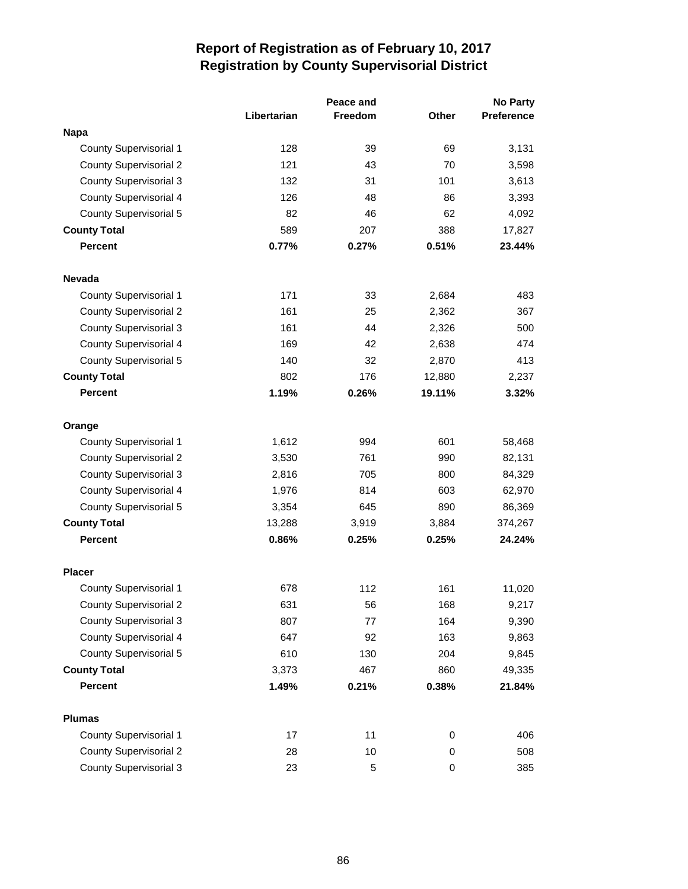|                               |             | Peace and      |        | <b>No Party</b>   |  |
|-------------------------------|-------------|----------------|--------|-------------------|--|
|                               | Libertarian | <b>Freedom</b> | Other  | <b>Preference</b> |  |
| <b>Napa</b>                   |             |                |        |                   |  |
| <b>County Supervisorial 1</b> | 128         | 39             | 69     | 3,131             |  |
| <b>County Supervisorial 2</b> | 121         | 43             | 70     | 3,598             |  |
| <b>County Supervisorial 3</b> | 132         | 31             | 101    | 3,613             |  |
| <b>County Supervisorial 4</b> | 126         | 48             | 86     | 3,393             |  |
| <b>County Supervisorial 5</b> | 82          | 46             | 62     | 4,092             |  |
| <b>County Total</b>           | 589         | 207            | 388    | 17,827            |  |
| <b>Percent</b>                | 0.77%       | 0.27%          | 0.51%  | 23.44%            |  |
| <b>Nevada</b>                 |             |                |        |                   |  |
| <b>County Supervisorial 1</b> | 171         | 33             | 2,684  | 483               |  |
| <b>County Supervisorial 2</b> | 161         | 25             | 2,362  | 367               |  |
| <b>County Supervisorial 3</b> | 161         | 44             | 2,326  | 500               |  |
| <b>County Supervisorial 4</b> | 169         | 42             | 2,638  | 474               |  |
| <b>County Supervisorial 5</b> | 140         | 32             | 2,870  | 413               |  |
| <b>County Total</b>           | 802         | 176            | 12,880 | 2,237             |  |
| <b>Percent</b>                | 1.19%       | 0.26%          | 19.11% | 3.32%             |  |
| Orange                        |             |                |        |                   |  |
| <b>County Supervisorial 1</b> | 1,612       | 994            | 601    | 58,468            |  |
| <b>County Supervisorial 2</b> | 3,530       | 761            | 990    | 82,131            |  |
| <b>County Supervisorial 3</b> | 2,816       | 705            | 800    | 84,329            |  |
| <b>County Supervisorial 4</b> | 1,976       | 814            | 603    | 62,970            |  |
| <b>County Supervisorial 5</b> | 3,354       | 645            | 890    | 86,369            |  |
| <b>County Total</b>           | 13,288      | 3,919          | 3,884  | 374,267           |  |
| <b>Percent</b>                | 0.86%       | 0.25%          | 0.25%  | 24.24%            |  |
| <b>Placer</b>                 |             |                |        |                   |  |
| <b>County Supervisorial 1</b> | 678         | 112            | 161    | 11,020            |  |
| <b>County Supervisorial 2</b> | 631         | 56             | 168    | 9,217             |  |
| <b>County Supervisorial 3</b> | 807         | 77             | 164    | 9,390             |  |
| <b>County Supervisorial 4</b> | 647         | 92             | 163    | 9,863             |  |
| <b>County Supervisorial 5</b> | 610         | 130            | 204    | 9,845             |  |
| <b>County Total</b>           | 3,373       | 467            | 860    | 49,335            |  |
| <b>Percent</b>                | 1.49%       | 0.21%          | 0.38%  | 21.84%            |  |
| <b>Plumas</b>                 |             |                |        |                   |  |
| <b>County Supervisorial 1</b> | 17          | 11             | 0      | 406               |  |
| <b>County Supervisorial 2</b> | 28          | 10             | 0      | 508               |  |
| <b>County Supervisorial 3</b> | 23          | $\mathbf 5$    | 0      | 385               |  |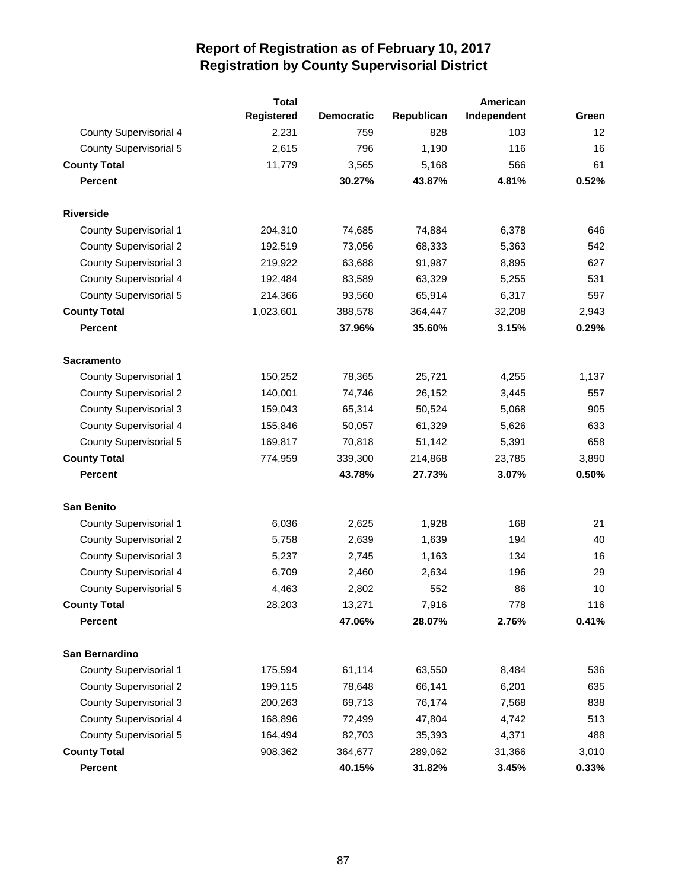|                               | <b>Total</b>      |                   |            | American    |       |
|-------------------------------|-------------------|-------------------|------------|-------------|-------|
|                               | <b>Registered</b> | <b>Democratic</b> | Republican | Independent | Green |
| <b>County Supervisorial 4</b> | 2,231             | 759               | 828        | 103         | 12    |
| <b>County Supervisorial 5</b> | 2,615             | 796               | 1,190      | 116         | 16    |
| <b>County Total</b>           | 11,779            | 3,565             | 5,168      | 566         | 61    |
| <b>Percent</b>                |                   | 30.27%            | 43.87%     | 4.81%       | 0.52% |
| <b>Riverside</b>              |                   |                   |            |             |       |
| <b>County Supervisorial 1</b> | 204,310           | 74,685            | 74,884     | 6,378       | 646   |
| <b>County Supervisorial 2</b> | 192,519           | 73,056            | 68,333     | 5,363       | 542   |
| <b>County Supervisorial 3</b> | 219,922           | 63,688            | 91,987     | 8,895       | 627   |
| County Supervisorial 4        | 192,484           | 83,589            | 63,329     | 5,255       | 531   |
| <b>County Supervisorial 5</b> | 214,366           | 93,560            | 65,914     | 6,317       | 597   |
| <b>County Total</b>           | 1,023,601         | 388,578           | 364,447    | 32,208      | 2,943 |
| <b>Percent</b>                |                   | 37.96%            | 35.60%     | 3.15%       | 0.29% |
| <b>Sacramento</b>             |                   |                   |            |             |       |
| <b>County Supervisorial 1</b> | 150,252           | 78,365            | 25,721     | 4,255       | 1,137 |
| <b>County Supervisorial 2</b> | 140,001           | 74,746            | 26,152     | 3,445       | 557   |
| <b>County Supervisorial 3</b> | 159,043           | 65,314            | 50,524     | 5,068       | 905   |
| County Supervisorial 4        | 155,846           | 50,057            | 61,329     | 5,626       | 633   |
| <b>County Supervisorial 5</b> | 169,817           | 70,818            | 51,142     | 5,391       | 658   |
| <b>County Total</b>           | 774,959           | 339,300           | 214,868    | 23,785      | 3,890 |
| <b>Percent</b>                |                   | 43.78%            | 27.73%     | 3.07%       | 0.50% |
| <b>San Benito</b>             |                   |                   |            |             |       |
| <b>County Supervisorial 1</b> | 6,036             | 2,625             | 1,928      | 168         | 21    |
| <b>County Supervisorial 2</b> | 5,758             | 2,639             | 1,639      | 194         | 40    |
| <b>County Supervisorial 3</b> | 5,237             | 2,745             | 1,163      | 134         | 16    |
| <b>County Supervisorial 4</b> | 6,709             | 2,460             | 2,634      | 196         | 29    |
| <b>County Supervisorial 5</b> | 4,463             | 2,802             | 552        | 86          | 10    |
| <b>County Total</b>           | 28,203            | 13,271            | 7,916      | 778         | 116   |
| <b>Percent</b>                |                   | 47.06%            | 28.07%     | 2.76%       | 0.41% |
| San Bernardino                |                   |                   |            |             |       |
| <b>County Supervisorial 1</b> | 175,594           | 61,114            | 63,550     | 8,484       | 536   |
| <b>County Supervisorial 2</b> | 199,115           | 78,648            | 66,141     | 6,201       | 635   |
| <b>County Supervisorial 3</b> | 200,263           | 69,713            | 76,174     | 7,568       | 838   |
| County Supervisorial 4        | 168,896           | 72,499            | 47,804     | 4,742       | 513   |
| <b>County Supervisorial 5</b> | 164,494           | 82,703            | 35,393     | 4,371       | 488   |
| <b>County Total</b>           | 908,362           | 364,677           | 289,062    | 31,366      | 3,010 |
| <b>Percent</b>                |                   | 40.15%            | 31.82%     | 3.45%       | 0.33% |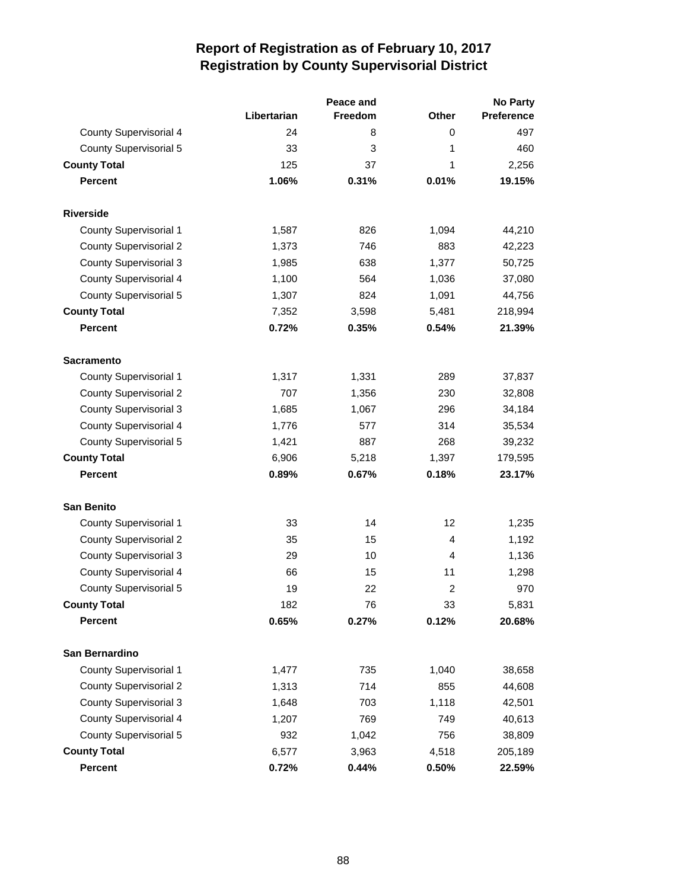|                               |             | Peace and | <b>No Party</b> |                   |  |
|-------------------------------|-------------|-----------|-----------------|-------------------|--|
|                               | Libertarian | Freedom   | <b>Other</b>    | <b>Preference</b> |  |
| <b>County Supervisorial 4</b> | 24          | 8         | 0               | 497               |  |
| County Supervisorial 5        | 33          | 3         | 1               | 460               |  |
| <b>County Total</b>           | 125         | 37        | 1               | 2,256             |  |
| <b>Percent</b>                | 1.06%       | 0.31%     | 0.01%           | 19.15%            |  |
| <b>Riverside</b>              |             |           |                 |                   |  |
| County Supervisorial 1        | 1,587       | 826       | 1,094           | 44,210            |  |
| <b>County Supervisorial 2</b> | 1,373       | 746       | 883             | 42,223            |  |
| <b>County Supervisorial 3</b> | 1,985       | 638       | 1,377           | 50,725            |  |
| <b>County Supervisorial 4</b> | 1,100       | 564       | 1,036           | 37,080            |  |
| <b>County Supervisorial 5</b> | 1,307       | 824       | 1,091           | 44,756            |  |
| <b>County Total</b>           | 7,352       | 3,598     | 5,481           | 218,994           |  |
| <b>Percent</b>                | 0.72%       | 0.35%     | 0.54%           | 21.39%            |  |
| <b>Sacramento</b>             |             |           |                 |                   |  |
| County Supervisorial 1        | 1,317       | 1,331     | 289             | 37,837            |  |
| <b>County Supervisorial 2</b> | 707         | 1,356     | 230             | 32,808            |  |
| <b>County Supervisorial 3</b> | 1,685       | 1,067     | 296             | 34,184            |  |
| <b>County Supervisorial 4</b> | 1,776       | 577       | 314             | 35,534            |  |
| <b>County Supervisorial 5</b> | 1,421       | 887       | 268             | 39,232            |  |
| <b>County Total</b>           | 6,906       | 5,218     | 1,397           | 179,595           |  |
| <b>Percent</b>                | 0.89%       | 0.67%     | 0.18%           | 23.17%            |  |
| <b>San Benito</b>             |             |           |                 |                   |  |
| County Supervisorial 1        | 33          | 14        | 12              | 1,235             |  |
| <b>County Supervisorial 2</b> | 35          | 15        | 4               | 1,192             |  |
| <b>County Supervisorial 3</b> | 29          | 10        | 4               | 1,136             |  |
| County Supervisorial 4        | 66          | 15        | 11              | 1,298             |  |
| <b>County Supervisorial 5</b> | 19          | 22        | $\overline{c}$  | 970               |  |
| <b>County Total</b>           | 182         | 76        | 33              | 5,831             |  |
| Percent                       | 0.65%       | 0.27%     | 0.12%           | 20.68%            |  |
| San Bernardino                |             |           |                 |                   |  |
| <b>County Supervisorial 1</b> | 1,477       | 735       | 1,040           | 38,658            |  |
| <b>County Supervisorial 2</b> | 1,313       | 714       | 855             | 44,608            |  |
| <b>County Supervisorial 3</b> | 1,648       | 703       | 1,118           | 42,501            |  |
| <b>County Supervisorial 4</b> | 1,207       | 769       | 749             | 40,613            |  |
| <b>County Supervisorial 5</b> | 932         | 1,042     | 756             | 38,809            |  |
| <b>County Total</b>           | 6,577       | 3,963     | 4,518           | 205,189           |  |
| Percent                       | 0.72%       | 0.44%     | 0.50%           | 22.59%            |  |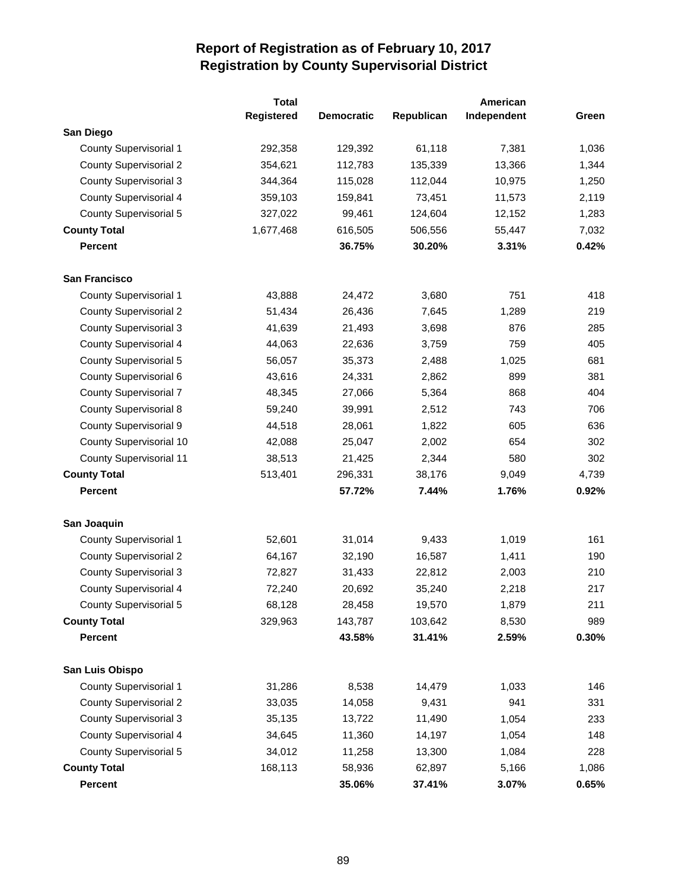|                                | <b>Total</b>      |                   |            | American    |       |
|--------------------------------|-------------------|-------------------|------------|-------------|-------|
|                                | <b>Registered</b> | <b>Democratic</b> | Republican | Independent | Green |
| San Diego                      |                   |                   |            |             |       |
| <b>County Supervisorial 1</b>  | 292,358           | 129,392           | 61,118     | 7,381       | 1,036 |
| <b>County Supervisorial 2</b>  | 354,621           | 112,783           | 135,339    | 13,366      | 1,344 |
| <b>County Supervisorial 3</b>  | 344,364           | 115,028           | 112,044    | 10,975      | 1,250 |
| County Supervisorial 4         | 359,103           | 159,841           | 73,451     | 11,573      | 2,119 |
| <b>County Supervisorial 5</b>  | 327,022           | 99,461            | 124,604    | 12,152      | 1,283 |
| <b>County Total</b>            | 1,677,468         | 616,505           | 506,556    | 55,447      | 7,032 |
| <b>Percent</b>                 |                   | 36.75%            | 30.20%     | 3.31%       | 0.42% |
| San Francisco                  |                   |                   |            |             |       |
| <b>County Supervisorial 1</b>  | 43,888            | 24,472            | 3,680      | 751         | 418   |
| <b>County Supervisorial 2</b>  | 51,434            | 26,436            | 7,645      | 1,289       | 219   |
| <b>County Supervisorial 3</b>  | 41,639            | 21,493            | 3,698      | 876         | 285   |
| <b>County Supervisorial 4</b>  | 44,063            | 22,636            | 3,759      | 759         | 405   |
| <b>County Supervisorial 5</b>  | 56,057            | 35,373            | 2,488      | 1,025       | 681   |
| County Supervisorial 6         | 43,616            | 24,331            | 2,862      | 899         | 381   |
| County Supervisorial 7         | 48,345            | 27,066            | 5,364      | 868         | 404   |
| <b>County Supervisorial 8</b>  | 59,240            | 39,991            | 2,512      | 743         | 706   |
| <b>County Supervisorial 9</b>  | 44,518            | 28,061            | 1,822      | 605         | 636   |
| County Supervisorial 10        | 42,088            | 25,047            | 2,002      | 654         | 302   |
| <b>County Supervisorial 11</b> | 38,513            | 21,425            | 2,344      | 580         | 302   |
| <b>County Total</b>            | 513,401           | 296,331           | 38,176     | 9,049       | 4,739 |
| <b>Percent</b>                 |                   | 57.72%            | 7.44%      | 1.76%       | 0.92% |
| San Joaquin                    |                   |                   |            |             |       |
| <b>County Supervisorial 1</b>  | 52,601            | 31,014            | 9,433      | 1,019       | 161   |
| <b>County Supervisorial 2</b>  | 64,167            | 32,190            | 16,587     | 1,411       | 190   |
| <b>County Supervisorial 3</b>  | 72,827            | 31,433            | 22,812     | 2,003       | 210   |
| County Supervisorial 4         | 72,240            | 20,692            | 35,240     | 2,218       | 217   |
| <b>County Supervisorial 5</b>  | 68,128            | 28,458            | 19,570     | 1,879       | 211   |
| <b>County Total</b>            | 329,963           | 143,787           | 103,642    | 8,530       | 989   |
| <b>Percent</b>                 |                   | 43.58%            | 31.41%     | 2.59%       | 0.30% |
| San Luis Obispo                |                   |                   |            |             |       |
| <b>County Supervisorial 1</b>  | 31,286            | 8,538             | 14,479     | 1,033       | 146   |
| <b>County Supervisorial 2</b>  | 33,035            | 14,058            | 9,431      | 941         | 331   |
| <b>County Supervisorial 3</b>  | 35,135            | 13,722            | 11,490     | 1,054       | 233   |
| County Supervisorial 4         | 34,645            | 11,360            | 14,197     | 1,054       | 148   |
| County Supervisorial 5         | 34,012            | 11,258            | 13,300     | 1,084       | 228   |
| <b>County Total</b>            | 168,113           | 58,936            | 62,897     | 5,166       | 1,086 |
| Percent                        |                   | 35.06%            | 37.41%     | 3.07%       | 0.65% |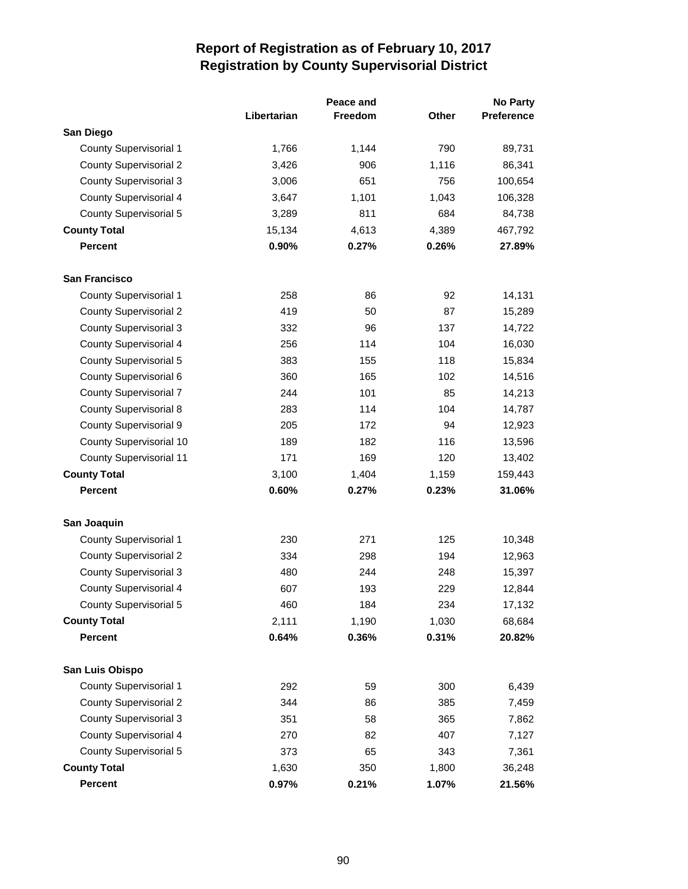|                                |             | Peace and      |       | <b>No Party</b> |
|--------------------------------|-------------|----------------|-------|-----------------|
|                                | Libertarian | <b>Freedom</b> | Other | Preference      |
| San Diego                      |             |                |       |                 |
| <b>County Supervisorial 1</b>  | 1,766       | 1,144          | 790   | 89,731          |
| <b>County Supervisorial 2</b>  | 3,426       | 906            | 1,116 | 86,341          |
| <b>County Supervisorial 3</b>  | 3,006       | 651            | 756   | 100,654         |
| <b>County Supervisorial 4</b>  | 3,647       | 1,101          | 1,043 | 106,328         |
| County Supervisorial 5         | 3,289       | 811            | 684   | 84,738          |
| <b>County Total</b>            | 15,134      | 4,613          | 4,389 | 467,792         |
| <b>Percent</b>                 | 0.90%       | 0.27%          | 0.26% | 27.89%          |
| San Francisco                  |             |                |       |                 |
| County Supervisorial 1         | 258         | 86             | 92    | 14,131          |
| <b>County Supervisorial 2</b>  | 419         | 50             | 87    | 15,289          |
| <b>County Supervisorial 3</b>  | 332         | 96             | 137   | 14,722          |
| <b>County Supervisorial 4</b>  | 256         | 114            | 104   | 16,030          |
| <b>County Supervisorial 5</b>  | 383         | 155            | 118   | 15,834          |
| County Supervisorial 6         | 360         | 165            | 102   | 14,516          |
| <b>County Supervisorial 7</b>  | 244         | 101            | 85    | 14,213          |
| <b>County Supervisorial 8</b>  | 283         | 114            | 104   | 14,787          |
| County Supervisorial 9         | 205         | 172            | 94    | 12,923          |
| County Supervisorial 10        | 189         | 182            | 116   | 13,596          |
| <b>County Supervisorial 11</b> | 171         | 169            | 120   | 13,402          |
| <b>County Total</b>            | 3,100       | 1,404          | 1,159 | 159,443         |
| <b>Percent</b>                 | 0.60%       | 0.27%          | 0.23% | 31.06%          |
| San Joaquin                    |             |                |       |                 |
| <b>County Supervisorial 1</b>  | 230         | 271            | 125   | 10,348          |
| <b>County Supervisorial 2</b>  | 334         | 298            | 194   | 12,963          |
| <b>County Supervisorial 3</b>  | 480         | 244            | 248   | 15,397          |
| <b>County Supervisorial 4</b>  | 607         | 193            | 229   | 12,844          |
| <b>County Supervisorial 5</b>  | 460         | 184            | 234   | 17,132          |
| <b>County Total</b>            | 2,111       | 1,190          | 1,030 | 68,684          |
| <b>Percent</b>                 | 0.64%       | 0.36%          | 0.31% | 20.82%          |
| San Luis Obispo                |             |                |       |                 |
| <b>County Supervisorial 1</b>  | 292         | 59             | 300   | 6,439           |
| <b>County Supervisorial 2</b>  | 344         | 86             | 385   | 7,459           |
| <b>County Supervisorial 3</b>  | 351         | 58             | 365   | 7,862           |
| <b>County Supervisorial 4</b>  | 270         | 82             | 407   | 7,127           |
| County Supervisorial 5         | 373         | 65             | 343   | 7,361           |
| <b>County Total</b>            | 1,630       | 350            | 1,800 | 36,248          |
| <b>Percent</b>                 | 0.97%       | 0.21%          | 1.07% | 21.56%          |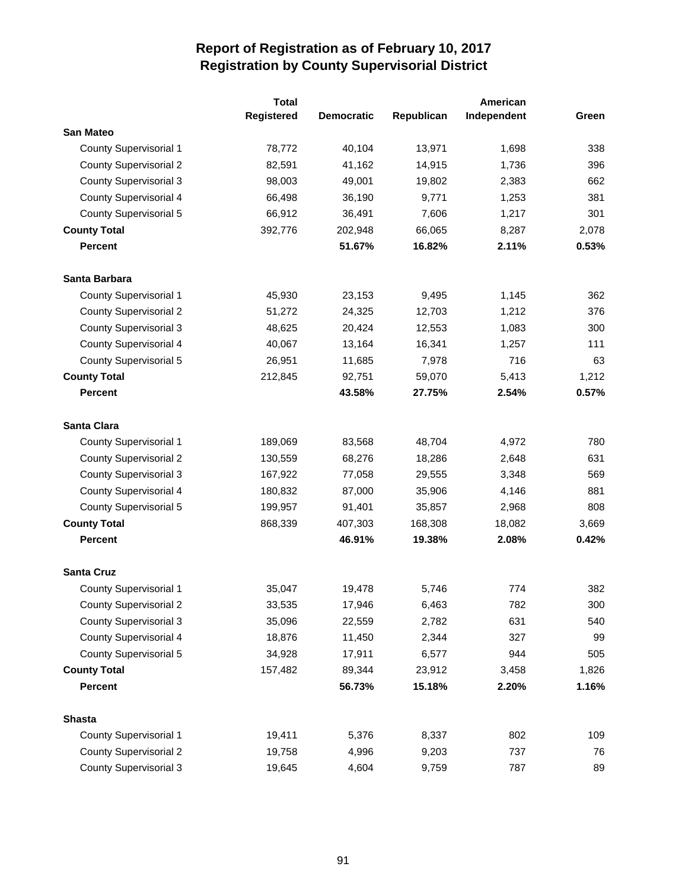|                               | <b>Total</b> |                   |            | American    |       |
|-------------------------------|--------------|-------------------|------------|-------------|-------|
|                               | Registered   | <b>Democratic</b> | Republican | Independent | Green |
| <b>San Mateo</b>              |              |                   |            |             |       |
| <b>County Supervisorial 1</b> | 78,772       | 40,104            | 13,971     | 1,698       | 338   |
| <b>County Supervisorial 2</b> | 82,591       | 41,162            | 14,915     | 1,736       | 396   |
| <b>County Supervisorial 3</b> | 98,003       | 49,001            | 19,802     | 2,383       | 662   |
| County Supervisorial 4        | 66,498       | 36,190            | 9,771      | 1,253       | 381   |
| <b>County Supervisorial 5</b> | 66,912       | 36,491            | 7,606      | 1,217       | 301   |
| <b>County Total</b>           | 392,776      | 202,948           | 66,065     | 8,287       | 2,078 |
| <b>Percent</b>                |              | 51.67%            | 16.82%     | 2.11%       | 0.53% |
| Santa Barbara                 |              |                   |            |             |       |
| County Supervisorial 1        | 45,930       | 23,153            | 9,495      | 1,145       | 362   |
| <b>County Supervisorial 2</b> | 51,272       | 24,325            | 12,703     | 1,212       | 376   |
| <b>County Supervisorial 3</b> | 48,625       | 20,424            | 12,553     | 1,083       | 300   |
| County Supervisorial 4        | 40,067       | 13,164            | 16,341     | 1,257       | 111   |
| <b>County Supervisorial 5</b> | 26,951       | 11,685            | 7,978      | 716         | 63    |
| <b>County Total</b>           | 212,845      | 92,751            | 59,070     | 5,413       | 1,212 |
| <b>Percent</b>                |              | 43.58%            | 27.75%     | 2.54%       | 0.57% |
| Santa Clara                   |              |                   |            |             |       |
| <b>County Supervisorial 1</b> | 189,069      | 83,568            | 48,704     | 4,972       | 780   |
| <b>County Supervisorial 2</b> | 130,559      | 68,276            | 18,286     | 2,648       | 631   |
| <b>County Supervisorial 3</b> | 167,922      | 77,058            | 29,555     | 3,348       | 569   |
| County Supervisorial 4        | 180,832      | 87,000            | 35,906     | 4,146       | 881   |
| County Supervisorial 5        | 199,957      | 91,401            | 35,857     | 2,968       | 808   |
| <b>County Total</b>           | 868,339      | 407,303           | 168,308    | 18,082      | 3,669 |
| <b>Percent</b>                |              | 46.91%            | 19.38%     | 2.08%       | 0.42% |
| <b>Santa Cruz</b>             |              |                   |            |             |       |
| <b>County Supervisorial 1</b> | 35,047       | 19,478            | 5,746      | 774         | 382   |
| <b>County Supervisorial 2</b> | 33,535       | 17,946            | 6,463      | 782         | 300   |
| <b>County Supervisorial 3</b> | 35,096       | 22,559            | 2,782      | 631         | 540   |
| County Supervisorial 4        | 18,876       | 11,450            | 2,344      | 327         | 99    |
| <b>County Supervisorial 5</b> | 34,928       | 17,911            | 6,577      | 944         | 505   |
| <b>County Total</b>           | 157,482      | 89,344            | 23,912     | 3,458       | 1,826 |
| <b>Percent</b>                |              | 56.73%            | 15.18%     | 2.20%       | 1.16% |
| <b>Shasta</b>                 |              |                   |            |             |       |
| <b>County Supervisorial 1</b> | 19,411       | 5,376             | 8,337      | 802         | 109   |
| <b>County Supervisorial 2</b> | 19,758       | 4,996             | 9,203      | 737         | 76    |
| <b>County Supervisorial 3</b> | 19,645       | 4,604             | 9,759      | 787         | 89    |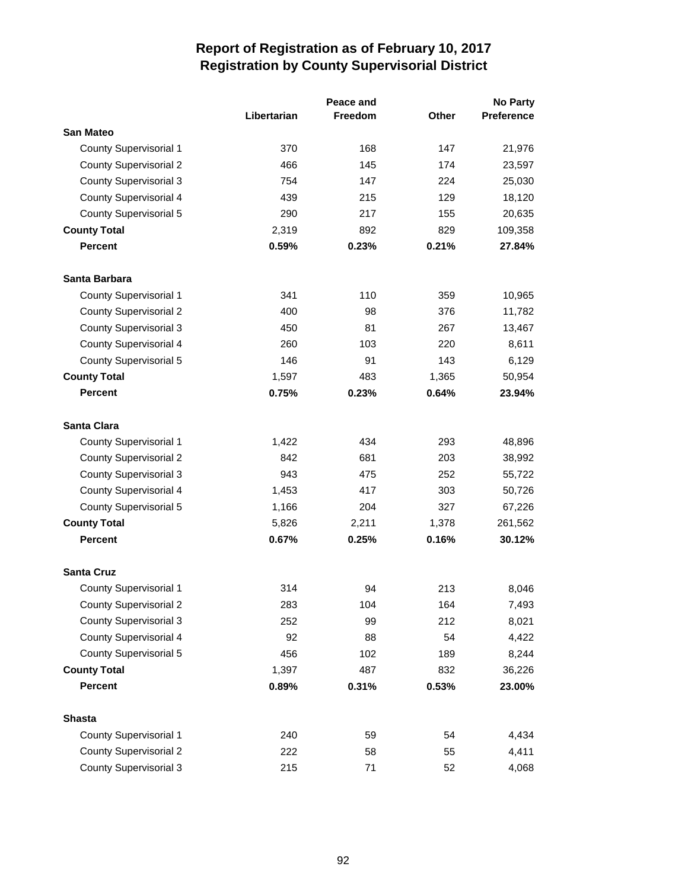|                               |             | Peace and      |       | <b>No Party</b>   |  |
|-------------------------------|-------------|----------------|-------|-------------------|--|
|                               | Libertarian | <b>Freedom</b> | Other | <b>Preference</b> |  |
| <b>San Mateo</b>              |             |                |       |                   |  |
| <b>County Supervisorial 1</b> | 370         | 168            | 147   | 21,976            |  |
| <b>County Supervisorial 2</b> | 466         | 145            | 174   | 23,597            |  |
| <b>County Supervisorial 3</b> | 754         | 147            | 224   | 25,030            |  |
| <b>County Supervisorial 4</b> | 439         | 215            | 129   | 18,120            |  |
| <b>County Supervisorial 5</b> | 290         | 217            | 155   | 20,635            |  |
| <b>County Total</b>           | 2,319       | 892            | 829   | 109,358           |  |
| <b>Percent</b>                | 0.59%       | 0.23%          | 0.21% | 27.84%            |  |
| Santa Barbara                 |             |                |       |                   |  |
| <b>County Supervisorial 1</b> | 341         | 110            | 359   | 10,965            |  |
| <b>County Supervisorial 2</b> | 400         | 98             | 376   | 11,782            |  |
| <b>County Supervisorial 3</b> | 450         | 81             | 267   | 13,467            |  |
| <b>County Supervisorial 4</b> | 260         | 103            | 220   | 8,611             |  |
| <b>County Supervisorial 5</b> | 146         | 91             | 143   | 6,129             |  |
| <b>County Total</b>           | 1,597       | 483            | 1,365 | 50,954            |  |
| <b>Percent</b>                | 0.75%       | 0.23%          | 0.64% | 23.94%            |  |
| <b>Santa Clara</b>            |             |                |       |                   |  |
| <b>County Supervisorial 1</b> | 1,422       | 434            | 293   | 48,896            |  |
| <b>County Supervisorial 2</b> | 842         | 681            | 203   | 38,992            |  |
| <b>County Supervisorial 3</b> | 943         | 475            | 252   | 55,722            |  |
| <b>County Supervisorial 4</b> | 1,453       | 417            | 303   | 50,726            |  |
| <b>County Supervisorial 5</b> | 1,166       | 204            | 327   | 67,226            |  |
| <b>County Total</b>           | 5,826       | 2,211          | 1,378 | 261,562           |  |
| <b>Percent</b>                | 0.67%       | 0.25%          | 0.16% | 30.12%            |  |
| <b>Santa Cruz</b>             |             |                |       |                   |  |
| <b>County Supervisorial 1</b> | 314         | 94             | 213   | 8,046             |  |
| <b>County Supervisorial 2</b> | 283         | 104            | 164   | 7,493             |  |
| <b>County Supervisorial 3</b> | 252         | 99             | 212   | 8,021             |  |
| <b>County Supervisorial 4</b> | 92          | 88             | 54    | 4,422             |  |
| <b>County Supervisorial 5</b> | 456         | 102            | 189   | 8,244             |  |
| <b>County Total</b>           | 1,397       | 487            | 832   | 36,226            |  |
| <b>Percent</b>                | 0.89%       | 0.31%          | 0.53% | 23.00%            |  |
| <b>Shasta</b>                 |             |                |       |                   |  |
| <b>County Supervisorial 1</b> | 240         | 59             | 54    | 4,434             |  |
| <b>County Supervisorial 2</b> | 222         | 58             | 55    | 4,411             |  |
| <b>County Supervisorial 3</b> | 215         | 71             | 52    | 4,068             |  |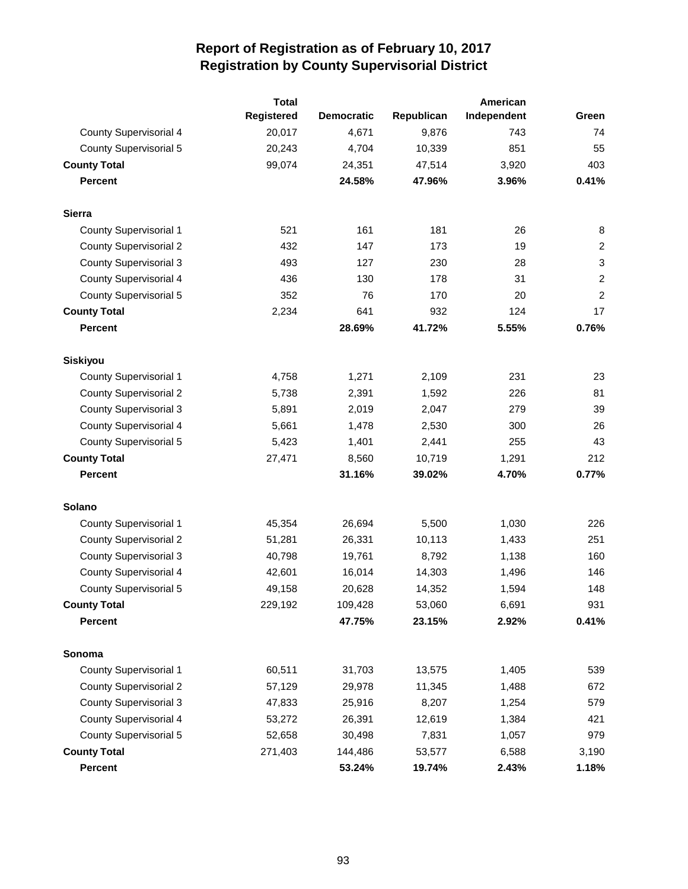|                               | <b>Total</b>      |                   |            | American    |                  |
|-------------------------------|-------------------|-------------------|------------|-------------|------------------|
|                               | <b>Registered</b> | <b>Democratic</b> | Republican | Independent | Green            |
| <b>County Supervisorial 4</b> | 20,017            | 4,671             | 9,876      | 743         | 74               |
| <b>County Supervisorial 5</b> | 20,243            | 4,704             | 10,339     | 851         | 55               |
| <b>County Total</b>           | 99,074            | 24,351            | 47,514     | 3,920       | 403              |
| <b>Percent</b>                |                   | 24.58%            | 47.96%     | 3.96%       | 0.41%            |
| <b>Sierra</b>                 |                   |                   |            |             |                  |
| <b>County Supervisorial 1</b> | 521               | 161               | 181        | 26          | 8                |
| <b>County Supervisorial 2</b> | 432               | 147               | 173        | 19          | $\overline{c}$   |
| <b>County Supervisorial 3</b> | 493               | 127               | 230        | 28          | $\sqrt{3}$       |
| <b>County Supervisorial 4</b> | 436               | 130               | 178        | 31          | $\boldsymbol{2}$ |
| <b>County Supervisorial 5</b> | 352               | 76                | 170        | 20          | $\overline{2}$   |
| <b>County Total</b>           | 2,234             | 641               | 932        | 124         | 17               |
| <b>Percent</b>                |                   | 28.69%            | 41.72%     | 5.55%       | 0.76%            |
| Siskiyou                      |                   |                   |            |             |                  |
| <b>County Supervisorial 1</b> | 4,758             | 1,271             | 2,109      | 231         | 23               |
| <b>County Supervisorial 2</b> | 5,738             | 2,391             | 1,592      | 226         | 81               |
| <b>County Supervisorial 3</b> | 5,891             | 2,019             | 2,047      | 279         | 39               |
| <b>County Supervisorial 4</b> | 5,661             | 1,478             | 2,530      | 300         | 26               |
| <b>County Supervisorial 5</b> | 5,423             | 1,401             | 2,441      | 255         | 43               |
| <b>County Total</b>           | 27,471            | 8,560             | 10,719     | 1,291       | 212              |
| <b>Percent</b>                |                   | 31.16%            | 39.02%     | 4.70%       | 0.77%            |
| <b>Solano</b>                 |                   |                   |            |             |                  |
| <b>County Supervisorial 1</b> | 45,354            | 26,694            | 5,500      | 1,030       | 226              |
| <b>County Supervisorial 2</b> | 51,281            | 26,331            | 10,113     | 1,433       | 251              |
| <b>County Supervisorial 3</b> | 40,798            | 19,761            | 8,792      | 1,138       | 160              |
| <b>County Supervisorial 4</b> | 42,601            | 16,014            | 14,303     | 1,496       | 146              |
| <b>County Supervisorial 5</b> | 49,158            | 20,628            | 14,352     | 1,594       | 148              |
| <b>County Total</b>           | 229,192           | 109,428           | 53,060     | 6,691       | 931              |
| <b>Percent</b>                |                   | 47.75%            | 23.15%     | 2.92%       | 0.41%            |
| Sonoma                        |                   |                   |            |             |                  |
| <b>County Supervisorial 1</b> | 60,511            | 31,703            | 13,575     | 1,405       | 539              |
| <b>County Supervisorial 2</b> | 57,129            | 29,978            | 11,345     | 1,488       | 672              |
| <b>County Supervisorial 3</b> | 47,833            | 25,916            | 8,207      | 1,254       | 579              |
| <b>County Supervisorial 4</b> | 53,272            | 26,391            | 12,619     | 1,384       | 421              |
| <b>County Supervisorial 5</b> | 52,658            | 30,498            | 7,831      | 1,057       | 979              |
| <b>County Total</b>           | 271,403           | 144,486           | 53,577     | 6,588       | 3,190            |
| <b>Percent</b>                |                   | 53.24%            | 19.74%     | 2.43%       | 1.18%            |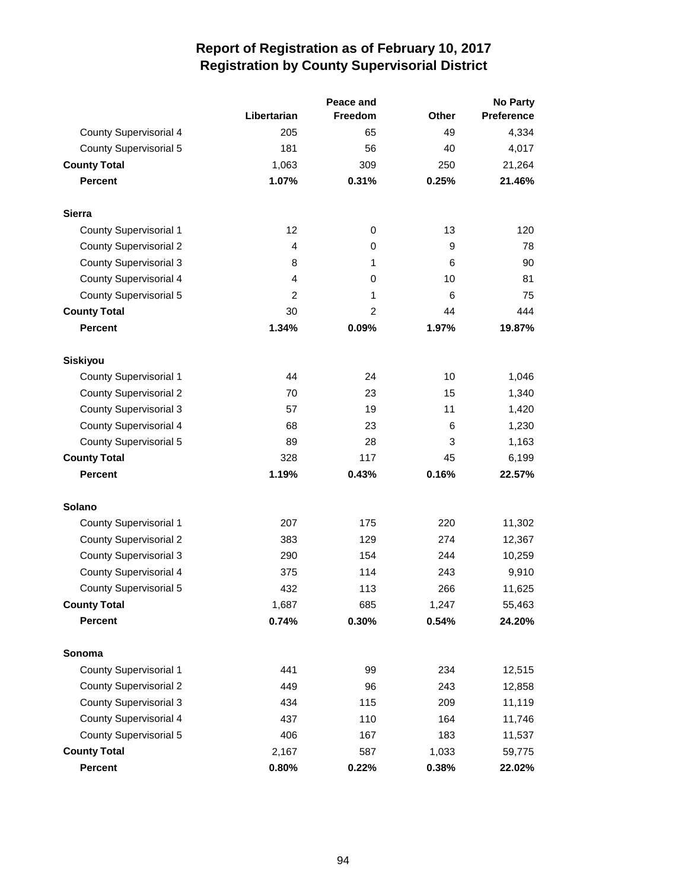|                               |                | Peace and      | No Party     |            |  |
|-------------------------------|----------------|----------------|--------------|------------|--|
|                               | Libertarian    | <b>Freedom</b> | <b>Other</b> | Preference |  |
| <b>County Supervisorial 4</b> | 205            | 65             | 49           | 4,334      |  |
| <b>County Supervisorial 5</b> | 181            | 56             | 40           | 4,017      |  |
| <b>County Total</b>           | 1,063          | 309            | 250          | 21,264     |  |
| <b>Percent</b>                | 1.07%          | 0.31%          | 0.25%        | 21.46%     |  |
| <b>Sierra</b>                 |                |                |              |            |  |
| <b>County Supervisorial 1</b> | 12             | 0              | 13           | 120        |  |
| <b>County Supervisorial 2</b> | 4              | 0              | 9            | 78         |  |
| <b>County Supervisorial 3</b> | 8              | 1              | 6            | 90         |  |
| <b>County Supervisorial 4</b> | 4              | 0              | 10           | 81         |  |
| <b>County Supervisorial 5</b> | $\overline{2}$ | 1              | 6            | 75         |  |
| <b>County Total</b>           | 30             | 2              | 44           | 444        |  |
| <b>Percent</b>                | 1.34%          | 0.09%          | 1.97%        | 19.87%     |  |
| <b>Siskiyou</b>               |                |                |              |            |  |
| <b>County Supervisorial 1</b> | 44             | 24             | 10           | 1,046      |  |
| <b>County Supervisorial 2</b> | 70             | 23             | 15           | 1,340      |  |
| <b>County Supervisorial 3</b> | 57             | 19             | 11           | 1,420      |  |
| <b>County Supervisorial 4</b> | 68             | 23             | 6            | 1,230      |  |
| <b>County Supervisorial 5</b> | 89             | 28             | 3            | 1,163      |  |
| <b>County Total</b>           | 328            | 117            | 45           | 6,199      |  |
| <b>Percent</b>                | 1.19%          | 0.43%          | 0.16%        | 22.57%     |  |
| <b>Solano</b>                 |                |                |              |            |  |
| <b>County Supervisorial 1</b> | 207            | 175            | 220          | 11,302     |  |
| <b>County Supervisorial 2</b> | 383            | 129            | 274          | 12,367     |  |
| <b>County Supervisorial 3</b> | 290            | 154            | 244          | 10,259     |  |
| <b>County Supervisorial 4</b> | 375            | 114            | 243          | 9,910      |  |
| <b>County Supervisorial 5</b> | 432            | 113            | 266          | 11,625     |  |
| <b>County Total</b>           | 1,687          | 685            | 1,247        | 55,463     |  |
| <b>Percent</b>                | 0.74%          | 0.30%          | 0.54%        | 24.20%     |  |
| Sonoma                        |                |                |              |            |  |
| <b>County Supervisorial 1</b> | 441            | 99             | 234          | 12,515     |  |
| <b>County Supervisorial 2</b> | 449            | 96             | 243          | 12,858     |  |
| <b>County Supervisorial 3</b> | 434            | 115            | 209          | 11,119     |  |
| County Supervisorial 4        | 437            | 110            | 164          | 11,746     |  |
| <b>County Supervisorial 5</b> | 406            | 167            | 183          | 11,537     |  |
| <b>County Total</b>           | 2,167          | 587            | 1,033        | 59,775     |  |
| Percent                       | 0.80%          | 0.22%          | 0.38%        | 22.02%     |  |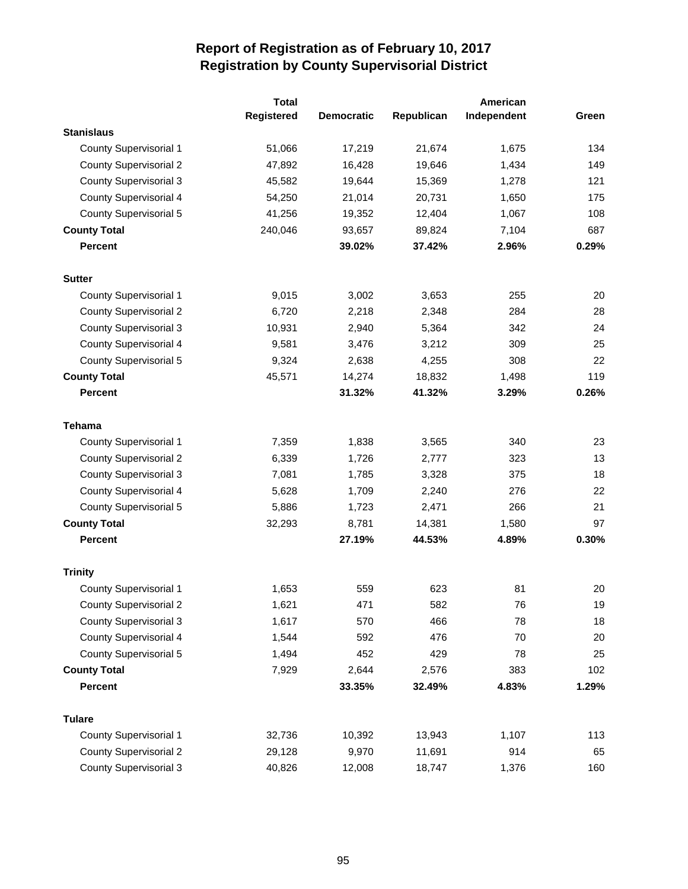|                               | <b>Total</b> |                   |            | American    |       |
|-------------------------------|--------------|-------------------|------------|-------------|-------|
|                               | Registered   | <b>Democratic</b> | Republican | Independent | Green |
| <b>Stanislaus</b>             |              |                   |            |             |       |
| <b>County Supervisorial 1</b> | 51,066       | 17,219            | 21,674     | 1,675       | 134   |
| <b>County Supervisorial 2</b> | 47,892       | 16,428            | 19,646     | 1,434       | 149   |
| <b>County Supervisorial 3</b> | 45,582       | 19,644            | 15,369     | 1,278       | 121   |
| County Supervisorial 4        | 54,250       | 21,014            | 20,731     | 1,650       | 175   |
| <b>County Supervisorial 5</b> | 41,256       | 19,352            | 12,404     | 1,067       | 108   |
| <b>County Total</b>           | 240,046      | 93,657            | 89,824     | 7,104       | 687   |
| <b>Percent</b>                |              | 39.02%            | 37.42%     | 2.96%       | 0.29% |
| <b>Sutter</b>                 |              |                   |            |             |       |
| <b>County Supervisorial 1</b> | 9,015        | 3,002             | 3,653      | 255         | 20    |
| <b>County Supervisorial 2</b> | 6,720        | 2,218             | 2,348      | 284         | 28    |
| <b>County Supervisorial 3</b> | 10,931       | 2,940             | 5,364      | 342         | 24    |
| County Supervisorial 4        | 9,581        | 3,476             | 3,212      | 309         | 25    |
| <b>County Supervisorial 5</b> | 9,324        | 2,638             | 4,255      | 308         | 22    |
| <b>County Total</b>           | 45,571       | 14,274            | 18,832     | 1,498       | 119   |
| <b>Percent</b>                |              | 31.32%            | 41.32%     | 3.29%       | 0.26% |
| Tehama                        |              |                   |            |             |       |
| <b>County Supervisorial 1</b> | 7,359        | 1,838             | 3,565      | 340         | 23    |
| <b>County Supervisorial 2</b> | 6,339        | 1,726             | 2,777      | 323         | 13    |
| <b>County Supervisorial 3</b> | 7,081        | 1,785             | 3,328      | 375         | 18    |
| County Supervisorial 4        | 5,628        | 1,709             | 2,240      | 276         | 22    |
| County Supervisorial 5        | 5,886        | 1,723             | 2,471      | 266         | 21    |
| <b>County Total</b>           | 32,293       | 8,781             | 14,381     | 1,580       | 97    |
| <b>Percent</b>                |              | 27.19%            | 44.53%     | 4.89%       | 0.30% |
| <b>Trinity</b>                |              |                   |            |             |       |
| <b>County Supervisorial 1</b> | 1,653        | 559               | 623        | 81          | 20    |
| <b>County Supervisorial 2</b> | 1,621        | 471               | 582        | 76          | 19    |
| <b>County Supervisorial 3</b> | 1,617        | 570               | 466        | 78          | 18    |
| County Supervisorial 4        | 1,544        | 592               | 476        | 70          | 20    |
| <b>County Supervisorial 5</b> | 1,494        | 452               | 429        | 78          | 25    |
| <b>County Total</b>           | 7,929        | 2,644             | 2,576      | 383         | 102   |
| <b>Percent</b>                |              | 33.35%            | 32.49%     | 4.83%       | 1.29% |
| <b>Tulare</b>                 |              |                   |            |             |       |
| <b>County Supervisorial 1</b> | 32,736       | 10,392            | 13,943     | 1,107       | 113   |
| <b>County Supervisorial 2</b> | 29,128       | 9,970             | 11,691     | 914         | 65    |
| <b>County Supervisorial 3</b> | 40,826       | 12,008            | 18,747     | 1,376       | 160   |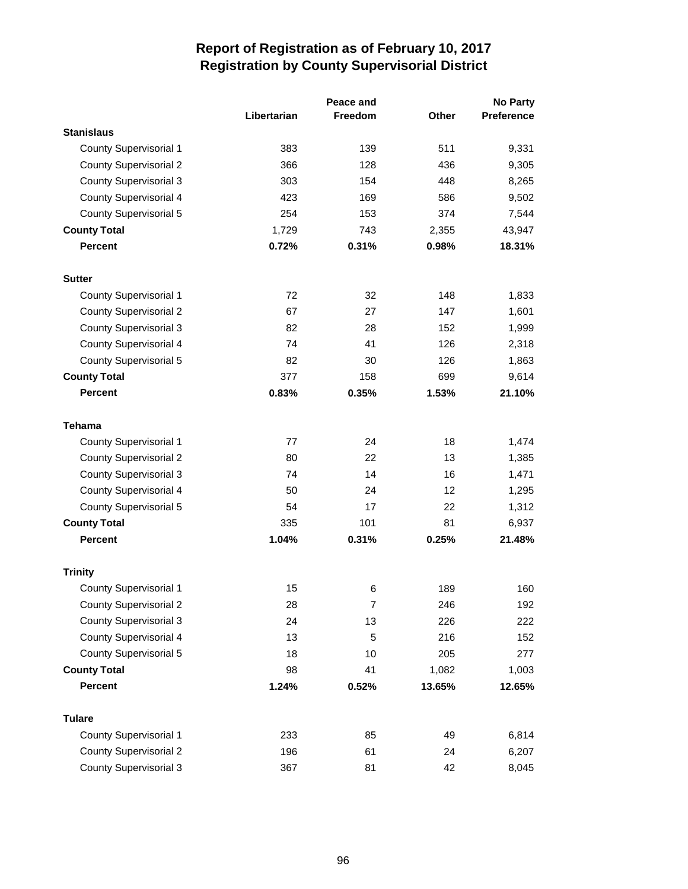|                               |             | Peace and      |        | <b>No Party</b>   |  |
|-------------------------------|-------------|----------------|--------|-------------------|--|
|                               | Libertarian | <b>Freedom</b> | Other  | <b>Preference</b> |  |
| <b>Stanislaus</b>             |             |                |        |                   |  |
| <b>County Supervisorial 1</b> | 383         | 139            | 511    | 9,331             |  |
| <b>County Supervisorial 2</b> | 366         | 128            | 436    | 9,305             |  |
| <b>County Supervisorial 3</b> | 303         | 154            | 448    | 8,265             |  |
| <b>County Supervisorial 4</b> | 423         | 169            | 586    | 9,502             |  |
| <b>County Supervisorial 5</b> | 254         | 153            | 374    | 7,544             |  |
| <b>County Total</b>           | 1,729       | 743            | 2,355  | 43,947            |  |
| <b>Percent</b>                | 0.72%       | 0.31%          | 0.98%  | 18.31%            |  |
| <b>Sutter</b>                 |             |                |        |                   |  |
| <b>County Supervisorial 1</b> | 72          | 32             | 148    | 1,833             |  |
| <b>County Supervisorial 2</b> | 67          | 27             | 147    | 1,601             |  |
| <b>County Supervisorial 3</b> | 82          | 28             | 152    | 1,999             |  |
| <b>County Supervisorial 4</b> | 74          | 41             | 126    | 2,318             |  |
| <b>County Supervisorial 5</b> | 82          | 30             | 126    | 1,863             |  |
| <b>County Total</b>           | 377         | 158            | 699    | 9,614             |  |
| <b>Percent</b>                | 0.83%       | 0.35%          | 1.53%  | 21.10%            |  |
| <b>Tehama</b>                 |             |                |        |                   |  |
| <b>County Supervisorial 1</b> | 77          | 24             | 18     | 1,474             |  |
| <b>County Supervisorial 2</b> | 80          | 22             | 13     | 1,385             |  |
| <b>County Supervisorial 3</b> | 74          | 14             | 16     | 1,471             |  |
| <b>County Supervisorial 4</b> | 50          | 24             | 12     | 1,295             |  |
| <b>County Supervisorial 5</b> | 54          | 17             | 22     | 1,312             |  |
| <b>County Total</b>           | 335         | 101            | 81     | 6,937             |  |
| <b>Percent</b>                | 1.04%       | 0.31%          | 0.25%  | 21.48%            |  |
| <b>Trinity</b>                |             |                |        |                   |  |
| <b>County Supervisorial 1</b> | 15          | 6              | 189    | 160               |  |
| <b>County Supervisorial 2</b> | 28          | 7              | 246    | 192               |  |
| <b>County Supervisorial 3</b> | 24          | 13             | 226    | 222               |  |
| <b>County Supervisorial 4</b> | 13          | 5              | 216    | 152               |  |
| County Supervisorial 5        | 18          | 10             | 205    | 277               |  |
| <b>County Total</b>           | 98          | 41             | 1,082  | 1,003             |  |
| <b>Percent</b>                | 1.24%       | 0.52%          | 13.65% | 12.65%            |  |
| <b>Tulare</b>                 |             |                |        |                   |  |
| <b>County Supervisorial 1</b> | 233         | 85             | 49     | 6,814             |  |
| <b>County Supervisorial 2</b> | 196         | 61             | 24     | 6,207             |  |
| <b>County Supervisorial 3</b> | 367         | 81             | 42     | 8,045             |  |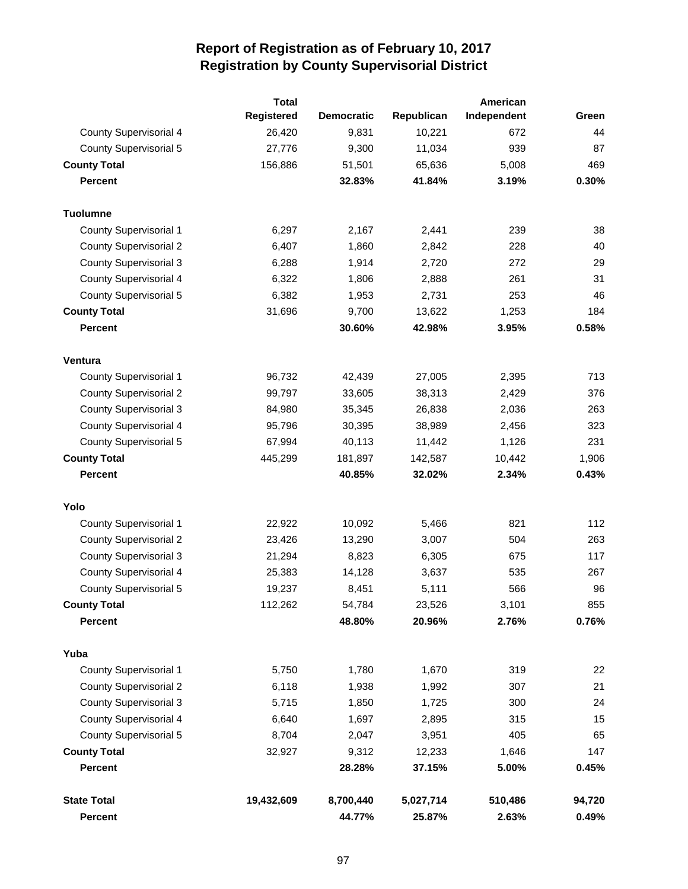|                               | <b>Total</b>      |                   |            | American    |        |
|-------------------------------|-------------------|-------------------|------------|-------------|--------|
|                               | <b>Registered</b> | <b>Democratic</b> | Republican | Independent | Green  |
| County Supervisorial 4        | 26,420            | 9,831             | 10,221     | 672         | 44     |
| <b>County Supervisorial 5</b> | 27,776            | 9,300             | 11,034     | 939         | 87     |
| <b>County Total</b>           | 156,886           | 51,501            | 65,636     | 5,008       | 469    |
| <b>Percent</b>                |                   | 32.83%            | 41.84%     | 3.19%       | 0.30%  |
| <b>Tuolumne</b>               |                   |                   |            |             |        |
| <b>County Supervisorial 1</b> | 6,297             | 2,167             | 2,441      | 239         | 38     |
| <b>County Supervisorial 2</b> | 6,407             | 1,860             | 2,842      | 228         | 40     |
| <b>County Supervisorial 3</b> | 6,288             | 1,914             | 2,720      | 272         | 29     |
| County Supervisorial 4        | 6,322             | 1,806             | 2,888      | 261         | 31     |
| <b>County Supervisorial 5</b> | 6,382             | 1,953             | 2,731      | 253         | 46     |
| <b>County Total</b>           | 31,696            | 9,700             | 13,622     | 1,253       | 184    |
| <b>Percent</b>                |                   | 30.60%            | 42.98%     | 3.95%       | 0.58%  |
| Ventura                       |                   |                   |            |             |        |
| <b>County Supervisorial 1</b> | 96,732            | 42,439            | 27,005     | 2,395       | 713    |
| <b>County Supervisorial 2</b> | 99,797            | 33,605            | 38,313     | 2,429       | 376    |
| <b>County Supervisorial 3</b> | 84,980            | 35,345            | 26,838     | 2,036       | 263    |
| County Supervisorial 4        | 95,796            | 30,395            | 38,989     | 2,456       | 323    |
| <b>County Supervisorial 5</b> | 67,994            | 40,113            | 11,442     | 1,126       | 231    |
| <b>County Total</b>           | 445,299           | 181,897           | 142,587    | 10,442      | 1,906  |
| <b>Percent</b>                |                   | 40.85%            | 32.02%     | 2.34%       | 0.43%  |
| Yolo                          |                   |                   |            |             |        |
| <b>County Supervisorial 1</b> | 22,922            | 10,092            | 5,466      | 821         | 112    |
| <b>County Supervisorial 2</b> | 23,426            | 13,290            | 3,007      | 504         | 263    |
| <b>County Supervisorial 3</b> | 21,294            | 8,823             | 6,305      | 675         | 117    |
| <b>County Supervisorial 4</b> | 25,383            | 14,128            | 3,637      | 535         | 267    |
| <b>County Supervisorial 5</b> | 19,237            | 8,451             | 5,111      | 566         | 96     |
| <b>County Total</b>           | 112,262           | 54,784            | 23,526     | 3,101       | 855    |
| <b>Percent</b>                |                   | 48.80%            | 20.96%     | 2.76%       | 0.76%  |
| Yuba                          |                   |                   |            |             |        |
| County Supervisorial 1        | 5,750             | 1,780             | 1,670      | 319         | 22     |
| <b>County Supervisorial 2</b> | 6,118             | 1,938             | 1,992      | 307         | 21     |
| <b>County Supervisorial 3</b> | 5,715             | 1,850             | 1,725      | 300         | 24     |
| County Supervisorial 4        | 6,640             | 1,697             | 2,895      | 315         | 15     |
| <b>County Supervisorial 5</b> | 8,704             | 2,047             | 3,951      | 405         | 65     |
| <b>County Total</b>           | 32,927            | 9,312             | 12,233     | 1,646       | 147    |
| <b>Percent</b>                |                   | 28.28%            | 37.15%     | 5.00%       | 0.45%  |
| <b>State Total</b>            | 19,432,609        | 8,700,440         | 5,027,714  | 510,486     | 94,720 |
| <b>Percent</b>                |                   | 44.77%            | 25.87%     | 2.63%       | 0.49%  |